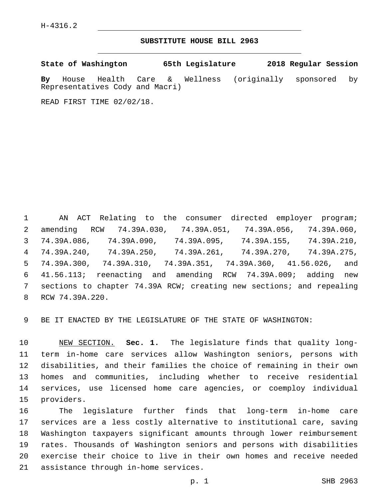## **SUBSTITUTE HOUSE BILL 2963**

**State of Washington 65th Legislature 2018 Regular Session**

**By** House Health Care & Wellness (originally sponsored by Representatives Cody and Macri)

READ FIRST TIME 02/02/18.

 AN ACT Relating to the consumer directed employer program; amending RCW 74.39A.030, 74.39A.051, 74.39A.056, 74.39A.060, 74.39A.086, 74.39A.090, 74.39A.095, 74.39A.155, 74.39A.210, 74.39A.240, 74.39A.250, 74.39A.261, 74.39A.270, 74.39A.275, 74.39A.300, 74.39A.310, 74.39A.351, 74.39A.360, 41.56.026, and 41.56.113; reenacting and amending RCW 74.39A.009; adding new sections to chapter 74.39A RCW; creating new sections; and repealing 8 RCW 74.39A.220.

BE IT ENACTED BY THE LEGISLATURE OF THE STATE OF WASHINGTON:

 NEW SECTION. **Sec. 1.** The legislature finds that quality long- term in-home care services allow Washington seniors, persons with disabilities, and their families the choice of remaining in their own homes and communities, including whether to receive residential services, use licensed home care agencies, or coemploy individual providers.

 The legislature further finds that long-term in-home care services are a less costly alternative to institutional care, saving Washington taxpayers significant amounts through lower reimbursement rates. Thousands of Washington seniors and persons with disabilities exercise their choice to live in their own homes and receive needed 21 assistance through in-home services.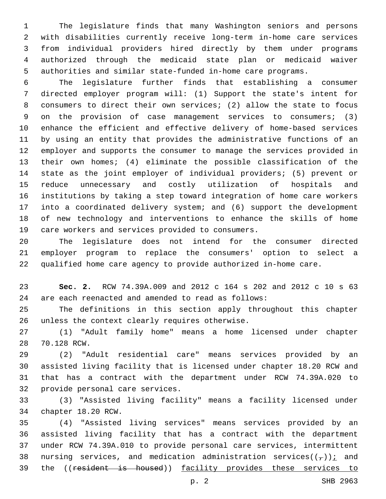The legislature finds that many Washington seniors and persons with disabilities currently receive long-term in-home care services from individual providers hired directly by them under programs authorized through the medicaid state plan or medicaid waiver authorities and similar state-funded in-home care programs.

 The legislature further finds that establishing a consumer directed employer program will: (1) Support the state's intent for consumers to direct their own services; (2) allow the state to focus on the provision of case management services to consumers; (3) enhance the efficient and effective delivery of home-based services by using an entity that provides the administrative functions of an employer and supports the consumer to manage the services provided in their own homes; (4) eliminate the possible classification of the state as the joint employer of individual providers; (5) prevent or reduce unnecessary and costly utilization of hospitals and institutions by taking a step toward integration of home care workers into a coordinated delivery system; and (6) support the development of new technology and interventions to enhance the skills of home 19 care workers and services provided to consumers.

 The legislature does not intend for the consumer directed employer program to replace the consumers' option to select a qualified home care agency to provide authorized in-home care.

 **Sec. 2.** RCW 74.39A.009 and 2012 c 164 s 202 and 2012 c 10 s 63 are each reenacted and amended to read as follows:

 The definitions in this section apply throughout this chapter 26 unless the context clearly requires otherwise.

 (1) "Adult family home" means a home licensed under chapter 28 70.128 RCW.

 (2) "Adult residential care" means services provided by an assisted living facility that is licensed under chapter 18.20 RCW and that has a contract with the department under RCW 74.39A.020 to 32 provide personal care services.

 (3) "Assisted living facility" means a facility licensed under 34 chapter 18.20 RCW.

 (4) "Assisted living services" means services provided by an assisted living facility that has a contract with the department under RCW 74.39A.010 to provide personal care services, intermittent 38 nursing services, and medication administration services( $(\tau)$ ); and 39 the ((resident is housed)) facility provides these services to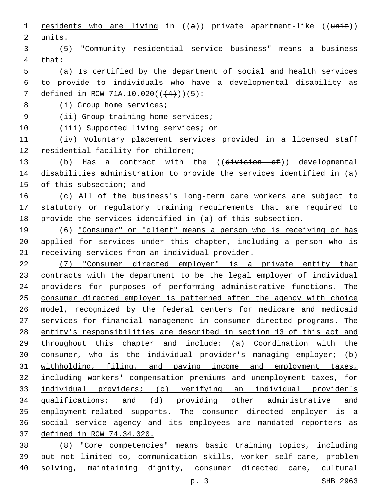1 residents who are living in  $((a))$  private apartment-like  $((unit))$ 2 units. (5) "Community residential service business" means a business 4 that: (a) Is certified by the department of social and health services to provide to individuals who have a developmental disability as 7 defined in RCW 71A.10.020( $(4+)$ )(5): 8 (i) Group home services; 9 (ii) Group training home services; 10 (iii) Supported living services; or (iv) Voluntary placement services provided in a licensed staff 12 residential facility for children; 13 (b) Has a contract with the ((division of)) developmental disabilities administration to provide the services identified in (a) 15 of this subsection; and (c) All of the business's long-term care workers are subject to statutory or regulatory training requirements that are required to provide the services identified in (a) of this subsection. (6) "Consumer" or "client" means a person who is receiving or has applied for services under this chapter, including a person who is receiving services from an individual provider. (7) "Consumer directed employer" is a private entity that contracts with the department to be the legal employer of individual providers for purposes of performing administrative functions. The 25 consumer directed employer is patterned after the agency with choice model, recognized by the federal centers for medicare and medicaid services for financial management in consumer directed programs. The entity's responsibilities are described in section 13 of this act and throughout this chapter and include: (a) Coordination with the consumer, who is the individual provider's managing employer; (b) withholding, filing, and paying income and employment taxes, including workers' compensation premiums and unemployment taxes, for individual providers; (c) verifying an individual provider's qualifications; and (d) providing other administrative and employment-related supports. The consumer directed employer is a social service agency and its employees are mandated reporters as defined in RCW 74.34.020. (8) "Core competencies" means basic training topics, including but not limited to, communication skills, worker self-care, problem

p. 3 SHB 2963

solving, maintaining dignity, consumer directed care, cultural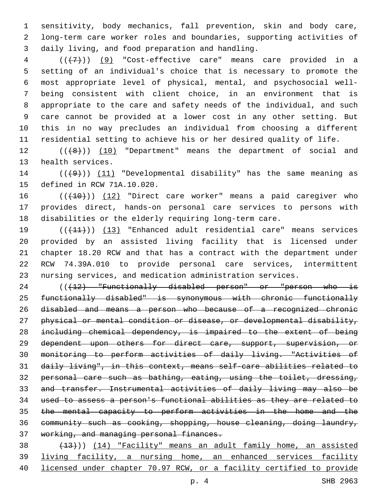sensitivity, body mechanics, fall prevention, skin and body care, long-term care worker roles and boundaries, supporting activities of daily living, and food preparation and handling.3

 (((7))) (9) "Cost-effective care" means care provided in a setting of an individual's choice that is necessary to promote the most appropriate level of physical, mental, and psychosocial well- being consistent with client choice, in an environment that is appropriate to the care and safety needs of the individual, and such care cannot be provided at a lower cost in any other setting. But this in no way precludes an individual from choosing a different residential setting to achieve his or her desired quality of life.

12 (( $(48)$ )) (10) "Department" means the department of social and 13 health services.

 ( $(\overline{+9})$ ) (11) "Developmental disability" has the same meaning as 15 defined in RCW 71A.10.020.

16 (( $(10)$ )) (12) "Direct care worker" means a paid caregiver who provides direct, hands-on personal care services to persons with disabilities or the elderly requiring long-term care.

 (((11))) (13) "Enhanced adult residential care" means services provided by an assisted living facility that is licensed under chapter 18.20 RCW and that has a contract with the department under RCW 74.39A.010 to provide personal care services, intermittent nursing services, and medication administration services.

24 ((+12) "Functionally disabled person" or "person who is functionally disabled" is synonymous with chronic functionally disabled and means a person who because of a recognized chronic physical or mental condition or disease, or developmental disability, including chemical dependency, is impaired to the extent of being dependent upon others for direct care, support, supervision, or monitoring to perform activities of daily living. "Activities of daily living", in this context, means self-care abilities related to 32 personal care such as bathing, eating, using the toilet, dressing, and transfer. Instrumental activities of daily living may also be used to assess a person's functional abilities as they are related to the mental capacity to perform activities in the home and the community such as cooking, shopping, house cleaning, doing laundry, working, and managing personal finances.

 (13))) (14) "Facility" means an adult family home, an assisted living facility, a nursing home, an enhanced services facility licensed under chapter 70.97 RCW, or a facility certified to provide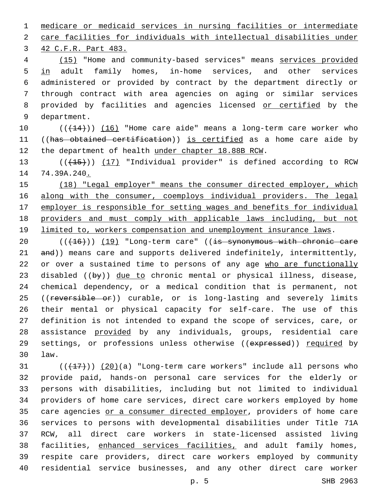1 medicare or medicaid services in nursing facilities or intermediate

2 care facilities for individuals with intellectual disabilities under

3 42 C.F.R. Part 483.

 (15) "Home and community-based services" means services provided in adult family homes, in-home services, and other services administered or provided by contract by the department directly or through contract with area agencies on aging or similar services provided by facilities and agencies licensed or certified by the 9 department.

10 (( $(14)$ )) (16) "Home care aide" means a long-term care worker who 11 ((has obtained certification)) is certified as a home care aide by 12 the department of health under chapter 18.88B RCW.

13 (( $(15)$ )) (17) "Individual provider" is defined according to RCW 14 74.39A.240.

15 (18) "Legal employer" means the consumer directed employer, which 16 along with the consumer, coemploys individual providers. The legal 17 employer is responsible for setting wages and benefits for individual 18 providers and must comply with applicable laws including, but not 19 limited to, workers compensation and unemployment insurance laws.

20 (( $(16)$ )) (19) "Long-term care" ((is synonymous with chronic care 21 and)) means care and supports delivered indefinitely, intermittently, 22 or over a sustained time to persons of any age who are functionally 23 disabled  $(\overline{by})$  due to chronic mental or physical illness, disease, 24 chemical dependency, or a medical condition that is permanent, not 25 ((reversible or)) curable, or is long-lasting and severely limits 26 their mental or physical capacity for self-care. The use of this 27 definition is not intended to expand the scope of services, care, or 28 assistance provided by any individuals, groups, residential care 29 settings, or professions unless otherwise ((expressed)) required by law.30

 $(1,17)$  ( $(20)$ (a) "Long-term care workers" include all persons who provide paid, hands-on personal care services for the elderly or persons with disabilities, including but not limited to individual providers of home care services, direct care workers employed by home 35 care agencies or a consumer directed employer, providers of home care services to persons with developmental disabilities under Title 71A RCW, all direct care workers in state-licensed assisted living 38 facilities, enhanced services facilities, and adult family homes, respite care providers, direct care workers employed by community residential service businesses, and any other direct care worker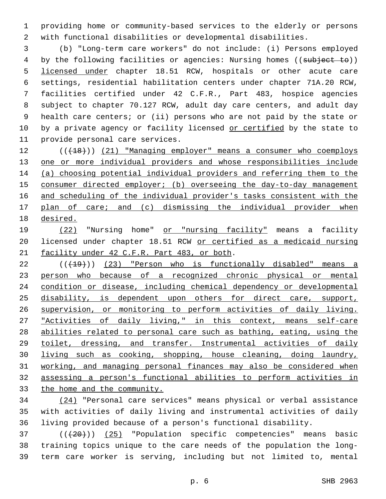providing home or community-based services to the elderly or persons with functional disabilities or developmental disabilities.

 (b) "Long-term care workers" do not include: (i) Persons employed 4 by the following facilities or agencies: Nursing homes ((subject to)) licensed under chapter 18.51 RCW, hospitals or other acute care settings, residential habilitation centers under chapter 71A.20 RCW, facilities certified under 42 C.F.R., Part 483, hospice agencies subject to chapter 70.127 RCW, adult day care centers, and adult day health care centers; or (ii) persons who are not paid by the state or 10 by a private agency or facility licensed or certified by the state to 11 provide personal care services.

 (((18))) (21) "Managing employer" means a consumer who coemploys one or more individual providers and whose responsibilities include (a) choosing potential individual providers and referring them to the consumer directed employer; (b) overseeing the day-to-day management and scheduling of the individual provider's tasks consistent with the plan of care; and (c) dismissing the individual provider when desired.

19 (22) "Nursing home" or "nursing facility" means a facility licensed under chapter 18.51 RCW or certified as a medicaid nursing 21 facility under 42 C.F.R. Part 483, or both.

22 (((19))) (23) "Person who is functionally disabled" means a 23 person who because of a recognized chronic physical or mental condition or disease, including chemical dependency or developmental disability, is dependent upon others for direct care, support, supervision, or monitoring to perform activities of daily living. 27 "Activities of daily living," in this context, means self-care abilities related to personal care such as bathing, eating, using the toilet, dressing, and transfer. Instrumental activities of daily living such as cooking, shopping, house cleaning, doing laundry, working, and managing personal finances may also be considered when assessing a person's functional abilities to perform activities in the home and the community.

 (24) "Personal care services" means physical or verbal assistance with activities of daily living and instrumental activities of daily living provided because of a person's functional disability.

37 (( $(420)$ )) (25) "Population specific competencies" means basic training topics unique to the care needs of the population the long-term care worker is serving, including but not limited to, mental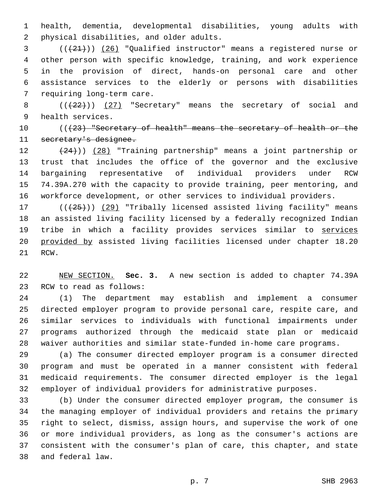health, dementia, developmental disabilities, young adults with 2 physical disabilities, and older adults.

 ( $(\frac{21}{2})$ ) (26) "Qualified instructor" means a registered nurse or other person with specific knowledge, training, and work experience in the provision of direct, hands-on personal care and other assistance services to the elderly or persons with disabilities 7 requiring long-term care.

8  $((+22+))$   $(27)$  "Secretary" means the secretary of social and 9 health services.

 (((23) "Secretary of health" means the secretary of health or the secretary's designee.

 (24))) (28) "Training partnership" means a joint partnership or trust that includes the office of the governor and the exclusive bargaining representative of individual providers under RCW 74.39A.270 with the capacity to provide training, peer mentoring, and workforce development, or other services to individual providers.

17 (( $(25)$ )) (29) "Tribally licensed assisted living facility" means an assisted living facility licensed by a federally recognized Indian tribe in which a facility provides services similar to services provided by assisted living facilities licensed under chapter 18.20 21 RCW.

 NEW SECTION. **Sec. 3.** A new section is added to chapter 74.39A 23 RCW to read as follows:

 (1) The department may establish and implement a consumer directed employer program to provide personal care, respite care, and similar services to individuals with functional impairments under programs authorized through the medicaid state plan or medicaid waiver authorities and similar state-funded in-home care programs.

 (a) The consumer directed employer program is a consumer directed program and must be operated in a manner consistent with federal medicaid requirements. The consumer directed employer is the legal employer of individual providers for administrative purposes.

 (b) Under the consumer directed employer program, the consumer is the managing employer of individual providers and retains the primary right to select, dismiss, assign hours, and supervise the work of one or more individual providers, as long as the consumer's actions are consistent with the consumer's plan of care, this chapter, and state and federal law.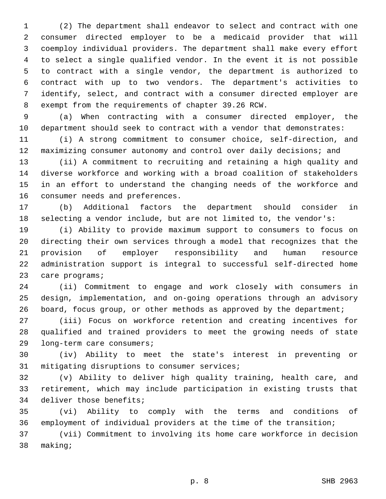(2) The department shall endeavor to select and contract with one consumer directed employer to be a medicaid provider that will coemploy individual providers. The department shall make every effort to select a single qualified vendor. In the event it is not possible to contract with a single vendor, the department is authorized to contract with up to two vendors. The department's activities to identify, select, and contract with a consumer directed employer are 8 exempt from the requirements of chapter 39.26 RCW.

 (a) When contracting with a consumer directed employer, the department should seek to contract with a vendor that demonstrates:

 (i) A strong commitment to consumer choice, self-direction, and maximizing consumer autonomy and control over daily decisions; and

 (ii) A commitment to recruiting and retaining a high quality and diverse workforce and working with a broad coalition of stakeholders in an effort to understand the changing needs of the workforce and 16 consumer needs and preferences.

 (b) Additional factors the department should consider in selecting a vendor include, but are not limited to, the vendor's:

 (i) Ability to provide maximum support to consumers to focus on directing their own services through a model that recognizes that the provision of employer responsibility and human resource administration support is integral to successful self-directed home 23 care programs;

 (ii) Commitment to engage and work closely with consumers in design, implementation, and on-going operations through an advisory board, focus group, or other methods as approved by the department;

 (iii) Focus on workforce retention and creating incentives for qualified and trained providers to meet the growing needs of state 29 long-term care consumers;

 (iv) Ability to meet the state's interest in preventing or 31 mitigating disruptions to consumer services;

 (v) Ability to deliver high quality training, health care, and retirement, which may include participation in existing trusts that 34 deliver those benefits;

 (vi) Ability to comply with the terms and conditions of employment of individual providers at the time of the transition;

 (vii) Commitment to involving its home care workforce in decision 38 making;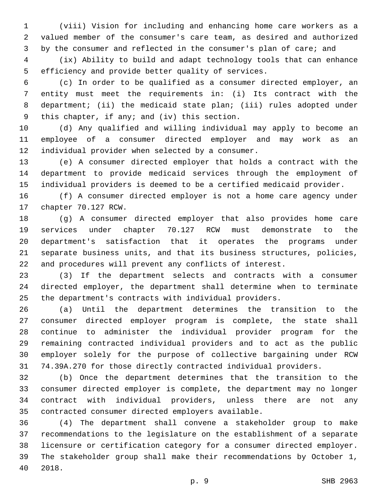(viii) Vision for including and enhancing home care workers as a valued member of the consumer's care team, as desired and authorized 3 by the consumer and reflected in the consumer's plan of care; and

 (ix) Ability to build and adapt technology tools that can enhance 5 efficiency and provide better quality of services.

 (c) In order to be qualified as a consumer directed employer, an entity must meet the requirements in: (i) Its contract with the department; (ii) the medicaid state plan; (iii) rules adopted under 9 this chapter, if any; and (iv) this section.

 (d) Any qualified and willing individual may apply to become an employee of a consumer directed employer and may work as an 12 individual provider when selected by a consumer.

 (e) A consumer directed employer that holds a contract with the department to provide medicaid services through the employment of individual providers is deemed to be a certified medicaid provider.

 (f) A consumer directed employer is not a home care agency under 17 chapter 70.127 RCW.

 (g) A consumer directed employer that also provides home care services under chapter 70.127 RCW must demonstrate to the department's satisfaction that it operates the programs under separate business units, and that its business structures, policies, and procedures will prevent any conflicts of interest.

 (3) If the department selects and contracts with a consumer directed employer, the department shall determine when to terminate the department's contracts with individual providers.

 (a) Until the department determines the transition to the consumer directed employer program is complete, the state shall continue to administer the individual provider program for the remaining contracted individual providers and to act as the public employer solely for the purpose of collective bargaining under RCW 74.39A.270 for those directly contracted individual providers.

 (b) Once the department determines that the transition to the consumer directed employer is complete, the department may no longer contract with individual providers, unless there are not any 35 contracted consumer directed employers available.

 (4) The department shall convene a stakeholder group to make recommendations to the legislature on the establishment of a separate licensure or certification category for a consumer directed employer. The stakeholder group shall make their recommendations by October 1, 2018.40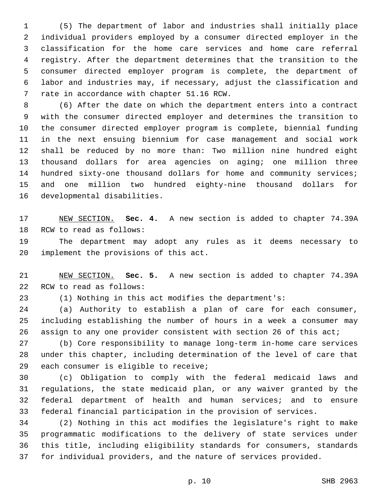(5) The department of labor and industries shall initially place individual providers employed by a consumer directed employer in the classification for the home care services and home care referral registry. After the department determines that the transition to the consumer directed employer program is complete, the department of labor and industries may, if necessary, adjust the classification and 7 rate in accordance with chapter 51.16 RCW.

 (6) After the date on which the department enters into a contract with the consumer directed employer and determines the transition to the consumer directed employer program is complete, biennial funding in the next ensuing biennium for case management and social work shall be reduced by no more than: Two million nine hundred eight thousand dollars for area agencies on aging; one million three hundred sixty-one thousand dollars for home and community services; and one million two hundred eighty-nine thousand dollars for 16 developmental disabilities.

 NEW SECTION. **Sec. 4.** A new section is added to chapter 74.39A 18 RCW to read as follows:

 The department may adopt any rules as it deems necessary to 20 implement the provisions of this act.

 NEW SECTION. **Sec. 5.** A new section is added to chapter 74.39A 22 RCW to read as follows:

(1) Nothing in this act modifies the department's:

 (a) Authority to establish a plan of care for each consumer, including establishing the number of hours in a week a consumer may assign to any one provider consistent with section 26 of this act;

 (b) Core responsibility to manage long-term in-home care services under this chapter, including determination of the level of care that 29 each consumer is eligible to receive;

 (c) Obligation to comply with the federal medicaid laws and regulations, the state medicaid plan, or any waiver granted by the federal department of health and human services; and to ensure federal financial participation in the provision of services.

 (2) Nothing in this act modifies the legislature's right to make programmatic modifications to the delivery of state services under this title, including eligibility standards for consumers, standards for individual providers, and the nature of services provided.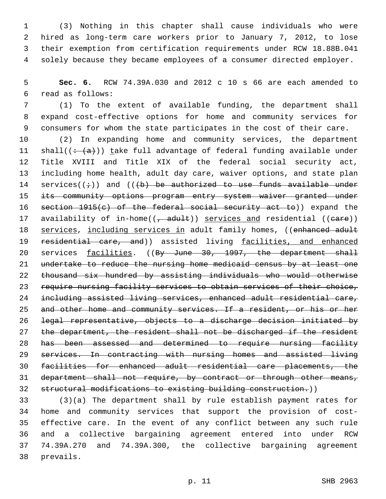(3) Nothing in this chapter shall cause individuals who were hired as long-term care workers prior to January 7, 2012, to lose their exemption from certification requirements under RCW 18.88B.041 solely because they became employees of a consumer directed employer.

 **Sec. 6.** RCW 74.39A.030 and 2012 c 10 s 66 are each amended to read as follows:6

 (1) To the extent of available funding, the department shall expand cost-effective options for home and community services for consumers for whom the state participates in the cost of their care.

 (2) In expanding home and community services, the department 11 shall( $\left(\div(a)\right)$ ) take full advantage of federal funding available under Title XVIII and Title XIX of the federal social security act, including home health, adult day care, waiver options, and state plan 14 services( $(i)$ ) and ( $(k)$ ) be authorized to use funds available under 15 its community options program entry system waiver granted under section 1915(c) of the federal social security act to)) expand the 17 availability of in-home((, adult)) services and residential ((eare)) 18 services, including services in adult family homes, ((enhanced adult 19 residential care, and)) assisted living facilities, and enhanced 20 services facilities. ((By June 30, 1997, the department shall undertake to reduce the nursing home medicaid census by at least one thousand six hundred by assisting individuals who would otherwise require nursing facility services to obtain services of their choice, including assisted living services, enhanced adult residential care, and other home and community services. If a resident, or his or her legal representative, objects to a discharge decision initiated by 27 the department, the resident shall not be discharged if the resident has been assessed and determined to require nursing facility services. In contracting with nursing homes and assisted living facilities for enhanced adult residential care placements, the 31 department shall not require, by contract or through other means, structural modifications to existing building construction.))

 (3)(a) The department shall by rule establish payment rates for home and community services that support the provision of cost- effective care. In the event of any conflict between any such rule and a collective bargaining agreement entered into under RCW 74.39A.270 and 74.39A.300, the collective bargaining agreement 38 prevails.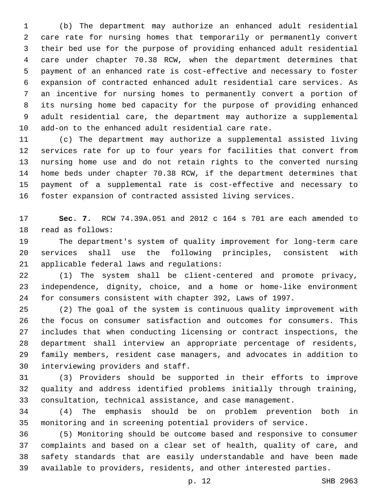(b) The department may authorize an enhanced adult residential care rate for nursing homes that temporarily or permanently convert their bed use for the purpose of providing enhanced adult residential care under chapter 70.38 RCW, when the department determines that payment of an enhanced rate is cost-effective and necessary to foster expansion of contracted enhanced adult residential care services. As an incentive for nursing homes to permanently convert a portion of its nursing home bed capacity for the purpose of providing enhanced adult residential care, the department may authorize a supplemental add-on to the enhanced adult residential care rate.

 (c) The department may authorize a supplemental assisted living services rate for up to four years for facilities that convert from nursing home use and do not retain rights to the converted nursing home beds under chapter 70.38 RCW, if the department determines that payment of a supplemental rate is cost-effective and necessary to foster expansion of contracted assisted living services.

 **Sec. 7.** RCW 74.39A.051 and 2012 c 164 s 701 are each amended to 18 read as follows:

 The department's system of quality improvement for long-term care services shall use the following principles, consistent with 21 applicable federal laws and regulations:

 (1) The system shall be client-centered and promote privacy, independence, dignity, choice, and a home or home-like environment for consumers consistent with chapter 392, Laws of 1997.

 (2) The goal of the system is continuous quality improvement with the focus on consumer satisfaction and outcomes for consumers. This includes that when conducting licensing or contract inspections, the department shall interview an appropriate percentage of residents, family members, resident case managers, and advocates in addition to 30 interviewing providers and staff.

 (3) Providers should be supported in their efforts to improve quality and address identified problems initially through training, consultation, technical assistance, and case management.

 (4) The emphasis should be on problem prevention both in monitoring and in screening potential providers of service.

 (5) Monitoring should be outcome based and responsive to consumer complaints and based on a clear set of health, quality of care, and safety standards that are easily understandable and have been made available to providers, residents, and other interested parties.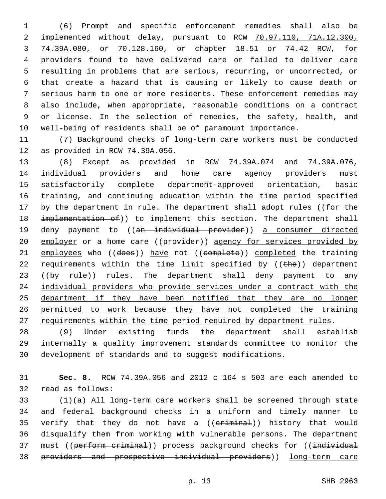(6) Prompt and specific enforcement remedies shall also be implemented without delay, pursuant to RCW 70.97.110, 71A.12.300, 74.39A.080, or 70.128.160, or chapter 18.51 or 74.42 RCW, for providers found to have delivered care or failed to deliver care resulting in problems that are serious, recurring, or uncorrected, or that create a hazard that is causing or likely to cause death or serious harm to one or more residents. These enforcement remedies may also include, when appropriate, reasonable conditions on a contract or license. In the selection of remedies, the safety, health, and well-being of residents shall be of paramount importance.

 (7) Background checks of long-term care workers must be conducted 12 as provided in RCW 74.39A.056.

 (8) Except as provided in RCW 74.39A.074 and 74.39A.076, individual providers and home care agency providers must satisfactorily complete department-approved orientation, basic training, and continuing education within the time period specified 17 by the department in rule. The department shall adopt rules ((for the 18 implementation of)) to implement this section. The department shall 19 deny payment to ((an individual provider)) a consumer directed 20 employer or a home care ((provider)) agency for services provided by 21 employees who ((does)) have not ((complete)) completed the training 22 requirements within the time limit specified by  $((the)$  department 23 ((by rule)) rules. The department shall deny payment to any individual providers who provide services under a contract with the department if they have been notified that they are no longer permitted to work because they have not completed the training 27 requirements within the time period required by department rules.

 (9) Under existing funds the department shall establish internally a quality improvement standards committee to monitor the development of standards and to suggest modifications.

 **Sec. 8.** RCW 74.39A.056 and 2012 c 164 s 503 are each amended to 32 read as follows:

 (1)(a) All long-term care workers shall be screened through state and federal background checks in a uniform and timely manner to 35 verify that they do not have a ((eriminal)) history that would disqualify them from working with vulnerable persons. The department 37 must ((perform criminal)) process background checks for ((individual providers and prospective individual providers)) long-term care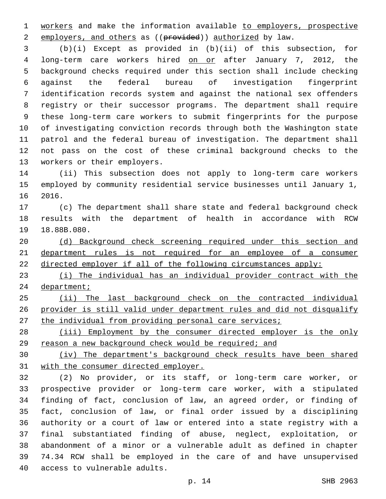workers and make the information available to employers, prospective 2 employers, and others as ((provided)) authorized by law.

 (b)(i) Except as provided in (b)(ii) of this subsection, for 4 long-term care workers hired on or after January 7, 2012, the background checks required under this section shall include checking against the federal bureau of investigation fingerprint identification records system and against the national sex offenders registry or their successor programs. The department shall require these long-term care workers to submit fingerprints for the purpose of investigating conviction records through both the Washington state patrol and the federal bureau of investigation. The department shall not pass on the cost of these criminal background checks to the 13 workers or their employers.

 (ii) This subsection does not apply to long-term care workers employed by community residential service businesses until January 1, 16 2016.

 (c) The department shall share state and federal background check results with the department of health in accordance with RCW 19 18.88B.080.

 (d) Background check screening required under this section and 21 department rules is not required for an employee of a consumer directed employer if all of the following circumstances apply:

 (i) The individual has an individual provider contract with the 24 department;

 (ii) The last background check on the contracted individual provider is still valid under department rules and did not disqualify 27 the individual from providing personal care services;

 (iii) Employment by the consumer directed employer is the only reason a new background check would be required; and

 (iv) The department's background check results have been shared with the consumer directed employer.

 (2) No provider, or its staff, or long-term care worker, or prospective provider or long-term care worker, with a stipulated finding of fact, conclusion of law, an agreed order, or finding of fact, conclusion of law, or final order issued by a disciplining authority or a court of law or entered into a state registry with a final substantiated finding of abuse, neglect, exploitation, or abandonment of a minor or a vulnerable adult as defined in chapter 74.34 RCW shall be employed in the care of and have unsupervised 40 access to vulnerable adults.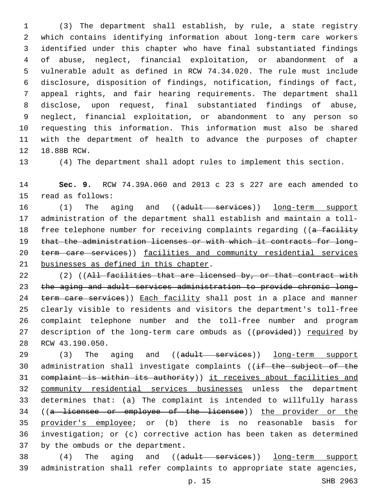(3) The department shall establish, by rule, a state registry which contains identifying information about long-term care workers identified under this chapter who have final substantiated findings of abuse, neglect, financial exploitation, or abandonment of a vulnerable adult as defined in RCW 74.34.020. The rule must include disclosure, disposition of findings, notification, findings of fact, appeal rights, and fair hearing requirements. The department shall disclose, upon request, final substantiated findings of abuse, neglect, financial exploitation, or abandonment to any person so requesting this information. This information must also be shared with the department of health to advance the purposes of chapter 12 18.88B RCW.

(4) The department shall adopt rules to implement this section.

 **Sec. 9.** RCW 74.39A.060 and 2013 c 23 s 227 are each amended to 15 read as follows:

16 (1) The aging and ((adult services)) long-term support administration of the department shall establish and maintain a toll-18 free telephone number for receiving complaints regarding ((a facility that the administration licenses or with which it contracts for long-20 term care services)) facilities and community residential services 21 businesses as defined in this chapter.

22 (2) ((All facilities that are licensed by, or that contract with the aging and adult services administration to provide chronic long-24 term care services)) Each facility shall post in a place and manner clearly visible to residents and visitors the department's toll-free complaint telephone number and the toll-free number and program 27 description of the long-term care ombuds as ((provided)) required by 28 RCW 43.190.050.

29 (3) The aging and ((adult services)) long-term support 30 administration shall investigate complaints ((if the subject of the complaint is within its authority)) it receives about facilities and community residential services businesses unless the department determines that: (a) The complaint is intended to willfully harass ((a licensee or employee of the licensee)) the provider or the provider's employee; or (b) there is no reasonable basis for investigation; or (c) corrective action has been taken as determined 37 by the ombuds or the department.

38 (4) The aging and ((adult services)) long-term support administration shall refer complaints to appropriate state agencies,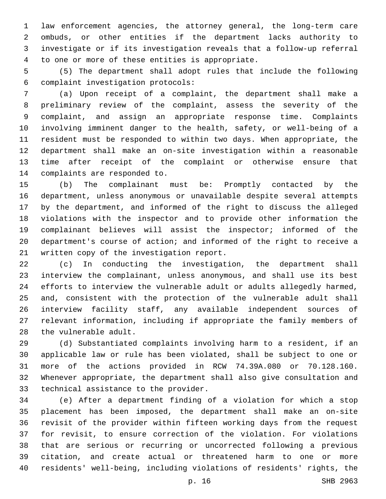law enforcement agencies, the attorney general, the long-term care ombuds, or other entities if the department lacks authority to investigate or if its investigation reveals that a follow-up referral 4 to one or more of these entities is appropriate.

 (5) The department shall adopt rules that include the following complaint investigation protocols:6

 (a) Upon receipt of a complaint, the department shall make a preliminary review of the complaint, assess the severity of the complaint, and assign an appropriate response time. Complaints involving imminent danger to the health, safety, or well-being of a resident must be responded to within two days. When appropriate, the department shall make an on-site investigation within a reasonable time after receipt of the complaint or otherwise ensure that 14 complaints are responded to.

 (b) The complainant must be: Promptly contacted by the department, unless anonymous or unavailable despite several attempts by the department, and informed of the right to discuss the alleged violations with the inspector and to provide other information the complainant believes will assist the inspector; informed of the department's course of action; and informed of the right to receive a 21 written copy of the investigation report.

 (c) In conducting the investigation, the department shall interview the complainant, unless anonymous, and shall use its best efforts to interview the vulnerable adult or adults allegedly harmed, and, consistent with the protection of the vulnerable adult shall interview facility staff, any available independent sources of relevant information, including if appropriate the family members of 28 the vulnerable adult.

 (d) Substantiated complaints involving harm to a resident, if an applicable law or rule has been violated, shall be subject to one or more of the actions provided in RCW 74.39A.080 or 70.128.160. Whenever appropriate, the department shall also give consultation and 33 technical assistance to the provider.

 (e) After a department finding of a violation for which a stop placement has been imposed, the department shall make an on-site revisit of the provider within fifteen working days from the request for revisit, to ensure correction of the violation. For violations that are serious or recurring or uncorrected following a previous citation, and create actual or threatened harm to one or more residents' well-being, including violations of residents' rights, the

p. 16 SHB 2963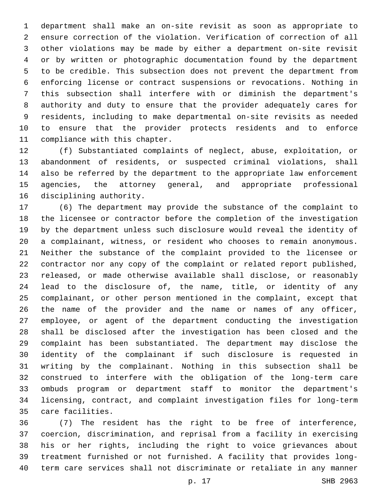department shall make an on-site revisit as soon as appropriate to ensure correction of the violation. Verification of correction of all other violations may be made by either a department on-site revisit or by written or photographic documentation found by the department to be credible. This subsection does not prevent the department from enforcing license or contract suspensions or revocations. Nothing in this subsection shall interfere with or diminish the department's authority and duty to ensure that the provider adequately cares for residents, including to make departmental on-site revisits as needed to ensure that the provider protects residents and to enforce 11 compliance with this chapter.

 (f) Substantiated complaints of neglect, abuse, exploitation, or abandonment of residents, or suspected criminal violations, shall also be referred by the department to the appropriate law enforcement agencies, the attorney general, and appropriate professional 16 disciplining authority.

 (6) The department may provide the substance of the complaint to the licensee or contractor before the completion of the investigation by the department unless such disclosure would reveal the identity of a complainant, witness, or resident who chooses to remain anonymous. Neither the substance of the complaint provided to the licensee or contractor nor any copy of the complaint or related report published, released, or made otherwise available shall disclose, or reasonably lead to the disclosure of, the name, title, or identity of any complainant, or other person mentioned in the complaint, except that the name of the provider and the name or names of any officer, employee, or agent of the department conducting the investigation shall be disclosed after the investigation has been closed and the complaint has been substantiated. The department may disclose the identity of the complainant if such disclosure is requested in writing by the complainant. Nothing in this subsection shall be construed to interfere with the obligation of the long-term care ombuds program or department staff to monitor the department's licensing, contract, and complaint investigation files for long-term 35 care facilities.

 (7) The resident has the right to be free of interference, coercion, discrimination, and reprisal from a facility in exercising his or her rights, including the right to voice grievances about treatment furnished or not furnished. A facility that provides long-term care services shall not discriminate or retaliate in any manner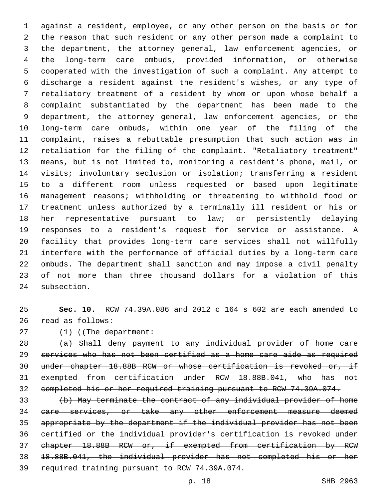against a resident, employee, or any other person on the basis or for the reason that such resident or any other person made a complaint to the department, the attorney general, law enforcement agencies, or the long-term care ombuds, provided information, or otherwise cooperated with the investigation of such a complaint. Any attempt to discharge a resident against the resident's wishes, or any type of retaliatory treatment of a resident by whom or upon whose behalf a complaint substantiated by the department has been made to the department, the attorney general, law enforcement agencies, or the long-term care ombuds, within one year of the filing of the complaint, raises a rebuttable presumption that such action was in retaliation for the filing of the complaint. "Retaliatory treatment" means, but is not limited to, monitoring a resident's phone, mail, or visits; involuntary seclusion or isolation; transferring a resident to a different room unless requested or based upon legitimate management reasons; withholding or threatening to withhold food or treatment unless authorized by a terminally ill resident or his or her representative pursuant to law; or persistently delaying responses to a resident's request for service or assistance. A facility that provides long-term care services shall not willfully interfere with the performance of official duties by a long-term care ombuds. The department shall sanction and may impose a civil penalty of not more than three thousand dollars for a violation of this 24 subsection.

 **Sec. 10.** RCW 74.39A.086 and 2012 c 164 s 602 are each amended to 26 read as follows:

27 (1) ((The department:

 (a) Shall deny payment to any individual provider of home care services who has not been certified as a home care aide as required under chapter 18.88B RCW or whose certification is revoked or, if exempted from certification under RCW 18.88B.041, who has not completed his or her required training pursuant to RCW 74.39A.074.

 (b) May terminate the contract of any individual provider of home care services, or take any other enforcement measure deemed appropriate by the department if the individual provider has not been certified or the individual provider's certification is revoked under chapter 18.88B RCW or, if exempted from certification by RCW 18.88B.041, the individual provider has not completed his or her required training pursuant to RCW 74.39A.074.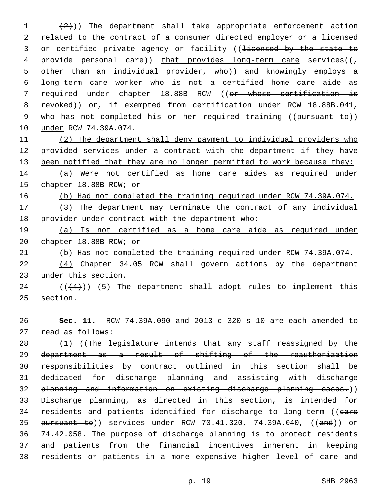$(2)$ )) The department shall take appropriate enforcement action 2 related to the contract of a consumer directed employer or a licensed 3 or certified private agency or facility ((licensed by the state to 4 provide personal care)) that provides long-term care services( $(\tau$ 5 other than an individual provider, who)) and knowingly employs a 6 long-term care worker who is not a certified home care aide as 7 required under chapter 18.88B RCW ((or whose certification is 8 revoked)) or, if exempted from certification under RCW 18.88B.041, 9 who has not completed his or her required training ((pursuant to)) 10 under RCW 74.39A.074.

11 (2) The department shall deny payment to individual providers who 12 provided services under a contract with the department if they have 13 been notified that they are no longer permitted to work because they:

14 (a) Were not certified as home care aides as required under 15 chapter 18.88B RCW; or

16 (b) Had not completed the training required under RCW 74.39A.074.

17 (3) The department may terminate the contract of any individual 18 provider under contract with the department who:

19 (a) Is not certified as a home care aide as required under 20 chapter 18.88B RCW; or

21 (b) Has not completed the training required under RCW 74.39A.074.

22 (4) Chapter 34.05 RCW shall govern actions by the department 23 under this section.

24  $((+4))$  (5) The department shall adopt rules to implement this 25 section.

26 **Sec. 11.** RCW 74.39A.090 and 2013 c 320 s 10 are each amended to 27 read as follows:

28 (1) ((The legislature intends that any staff reassigned by the department as a result of shifting of the reauthorization responsibilities by contract outlined in this section shall be dedicated for discharge planning and assisting with discharge planning and information on existing discharge planning cases.)) Discharge planning, as directed in this section, is intended for 34 residents and patients identified for discharge to long-term ((eare pursuant to)) services under RCW 70.41.320, 74.39A.040, ((and)) or 74.42.058. The purpose of discharge planning is to protect residents and patients from the financial incentives inherent in keeping residents or patients in a more expensive higher level of care and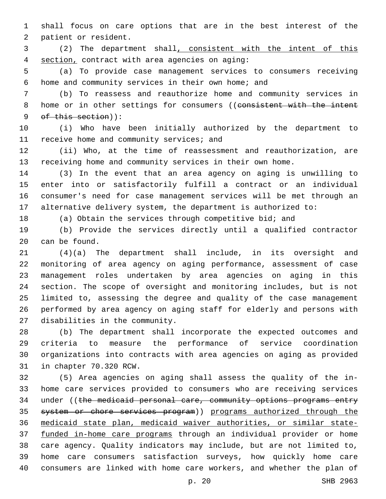shall focus on care options that are in the best interest of the 2 patient or resident.

 (2) The department shall, consistent with the intent of this section, contract with area agencies on aging:4

 (a) To provide case management services to consumers receiving 6 home and community services in their own home; and

 (b) To reassess and reauthorize home and community services in 8 home or in other settings for consumers ((consistent with the intent 9 of this section)):

 (i) Who have been initially authorized by the department to 11 receive home and community services; and

 (ii) Who, at the time of reassessment and reauthorization, are receiving home and community services in their own home.

 (3) In the event that an area agency on aging is unwilling to enter into or satisfactorily fulfill a contract or an individual consumer's need for case management services will be met through an alternative delivery system, the department is authorized to:

(a) Obtain the services through competitive bid; and

 (b) Provide the services directly until a qualified contractor 20 can be found.

 (4)(a) The department shall include, in its oversight and monitoring of area agency on aging performance, assessment of case management roles undertaken by area agencies on aging in this section. The scope of oversight and monitoring includes, but is not limited to, assessing the degree and quality of the case management performed by area agency on aging staff for elderly and persons with 27 disabilities in the community.

 (b) The department shall incorporate the expected outcomes and criteria to measure the performance of service coordination organizations into contracts with area agencies on aging as provided 31 in chapter 70.320 RCW.

 (5) Area agencies on aging shall assess the quality of the in- home care services provided to consumers who are receiving services 34 under ((the medicaid personal care, community options programs entry system or chore services program)) programs authorized through the medicaid state plan, medicaid waiver authorities, or similar state- funded in-home care programs through an individual provider or home care agency. Quality indicators may include, but are not limited to, home care consumers satisfaction surveys, how quickly home care consumers are linked with home care workers, and whether the plan of

p. 20 SHB 2963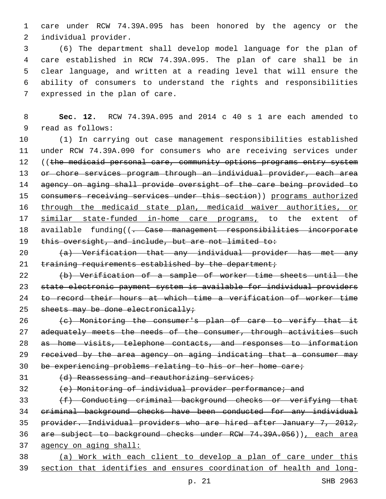care under RCW 74.39A.095 has been honored by the agency or the 2 individual provider.

 (6) The department shall develop model language for the plan of care established in RCW 74.39A.095. The plan of care shall be in clear language, and written at a reading level that will ensure the ability of consumers to understand the rights and responsibilities 7 expressed in the plan of care.

 **Sec. 12.** RCW 74.39A.095 and 2014 c 40 s 1 are each amended to 9 read as follows:

 (1) In carrying out case management responsibilities established under RCW 74.39A.090 for consumers who are receiving services under 12 ((the medicaid personal care, community options programs entry system 13 or chore services program through an individual provider, each area 14 agency on aging shall provide oversight of the care being provided to 15 consumers receiving services under this section)) programs authorized through the medicaid state plan, medicaid waiver authorities, or similar state-funded in-home care programs, to the extent of 18 available funding((<del>. Case management responsibilities incorporate</del> 19 this oversight, and include, but are not limited to:

 (a) Verification that any individual provider has met any 21 training requirements established by the department;

 (b) Verification of a sample of worker time sheets until the state electronic payment system is available for individual providers to record their hours at which time a verification of worker time 25 sheets may be done electronically;

 (c) Monitoring the consumer's plan of care to verify that it 27 adequately meets the needs of the consumer, through activities such as home visits, telephone contacts, and responses to information received by the area agency on aging indicating that a consumer may be experiencing problems relating to his or her home care;

31 (d) Reassessing and reauthorizing services;

(e) Monitoring of individual provider performance; and

33 (f) Conducting criminal background checks or verifying that criminal background checks have been conducted for any individual provider. Individual providers who are hired after January 7, 2012, are subject to background checks under RCW 74.39A.056)), each area agency on aging shall:

 (a) Work with each client to develop a plan of care under this section that identifies and ensures coordination of health and long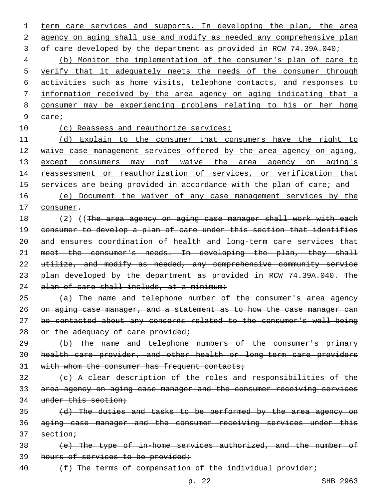1 term care services and supports. In developing the plan, the area 2 agency on aging shall use and modify as needed any comprehensive plan 3 of care developed by the department as provided in RCW 74.39A.040;

 (b) Monitor the implementation of the consumer's plan of care to 5 verify that it adequately meets the needs of the consumer through activities such as home visits, telephone contacts, and responses to information received by the area agency on aging indicating that a consumer may be experiencing problems relating to his or her home 9 care;

10 (c) Reassess and reauthorize services;

11 (d) Explain to the consumer that consumers have the right to 12 waive case management services offered by the area agency on aging, 13 except consumers may not waive the area agency on aging's 14 reassessment or reauthorization of services, or verification that 15 services are being provided in accordance with the plan of care; and

16 (e) Document the waiver of any case management services by the 17 consumer.

18 (2) ((The area agency on aging case manager shall work with each 19 consumer to develop a plan of care under this section that identifies 20 and ensures coordination of health and long-term care services that 21 meet the consumer's needs. In developing the plan, they shall 22 utilize, and modify as needed, any comprehensive community service 23 plan developed by the department as provided in RCW 74.39A.040. The 24 plan of care shall include, at a minimum:

 (a) The name and telephone number of the consumer's area agency on aging case manager, and a statement as to how the case manager can be contacted about any concerns related to the consumer's well-being 28 or the adequacy of care provided;

29 (b) The name and telephone numbers of the consumer's primary 30 health care provider, and other health or long-term care providers 31 with whom the consumer has frequent contacts;

32 (c) A clear description of the roles and responsibilities of the 33 area agency on aging case manager and the consumer receiving services 34 under this section;

35 (d) The duties and tasks to be performed by the area agency on 36 aging case manager and the consumer receiving services under this  $37$  section;

38 (e) The type of in-home services authorized, and the number of 39 hours of services to be provided;

40 (f) The terms of compensation of the individual provider;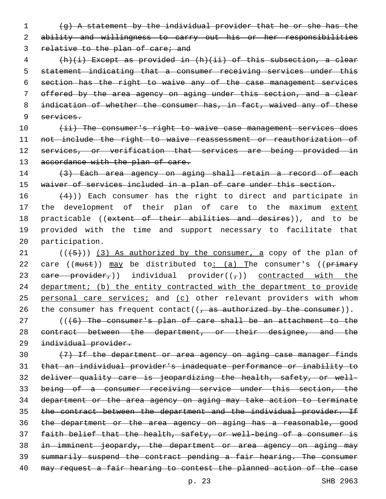1 (g) A statement by the individual provider that he or she has the 2 ability and willingness to carry out his or her responsibilities

3 relative to the plan of care; and

 (h)(i) Except as provided in (h)(ii) of this subsection, a clear statement indicating that a consumer receiving services under this section has the right to waive any of the case management services offered by the area agency on aging under this section, and a clear indication of whether the consumer has, in fact, waived any of these services.

10 (ii) The consumer's right to waive case management services does 11 not include the right to waive reassessment or reauthorization of 12 services, or verification that services are being provided in 13 accordance with the plan of care.

14 (3) Each area agency on aging shall retain a record of each 15 waiver of services included in a plan of care under this section.

16  $(4)$ )) Each consumer has the right to direct and participate in 17 the development of their plan of care to the maximum extent 18 practicable ((extent of their abilities and desires)), and to be 19 provided with the time and support necessary to facilitate that 20 participation.

21  $((+5+))$  (3) As authorized by the consumer, a copy of the plan of 22 care ((must)) may be distributed to: (a) The consumer's ((primary 23 eare provider,)) individual provider( $(\tau)$ ) contracted with the 24 department; (b) the entity contracted with the department to provide 25 personal care services; and (c) other relevant providers with whom 26 the consumer has frequent contact( $(\frac{1}{2})$  as authorized by the consumer)).

27 (((6) The consumer's plan of care shall be an attachment to the 28 contract between the department, or their designee, and the 29 individual provider.

 (7) If the department or area agency on aging case manager finds that an individual provider's inadequate performance or inability to deliver quality care is jeopardizing the health, safety, or well- being of a consumer receiving service under this section, the department or the area agency on aging may take action to terminate 35 the contract between the department and the individual provider. If the department or the area agency on aging has a reasonable, good faith belief that the health, safety, or well-being of a consumer is in imminent jeopardy, the department or area agency on aging may summarily suspend the contract pending a fair hearing. The consumer may request a fair hearing to contest the planned action of the case

p. 23 SHB 2963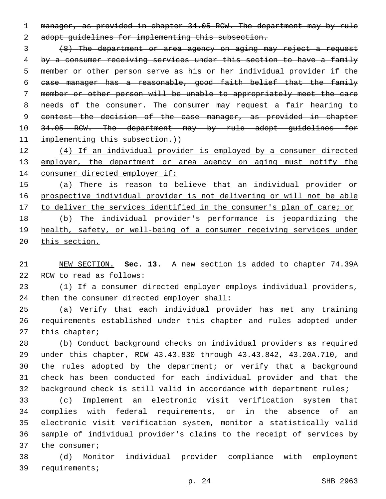manager, as provided in chapter 34.05 RCW. The department may by rule 2 adopt guidelines for implementing this subsection.

 (8) The department or area agency on aging may reject a request by a consumer receiving services under this section to have a family member or other person serve as his or her individual provider if the case manager has a reasonable, good faith belief that the family member or other person will be unable to appropriately meet the care 8 needs of the consumer. The consumer may request a fair hearing to contest the decision of the case manager, as provided in chapter 10 34.05 RCW. The department may by rule adopt guidelines for 11 implementing this subsection.))

 (4) If an individual provider is employed by a consumer directed 13 employer, the department or area agency on aging must notify the consumer directed employer if:

 (a) There is reason to believe that an individual provider or prospective individual provider is not delivering or will not be able 17 to deliver the services identified in the consumer's plan of care; or (b) The individual provider's performance is jeopardizing the health, safety, or well-being of a consumer receiving services under

this section.

 NEW SECTION. **Sec. 13.** A new section is added to chapter 74.39A 22 RCW to read as follows:

 (1) If a consumer directed employer employs individual providers, 24 then the consumer directed employer shall:

 (a) Verify that each individual provider has met any training requirements established under this chapter and rules adopted under 27 this chapter;

 (b) Conduct background checks on individual providers as required under this chapter, RCW 43.43.830 through 43.43.842, 43.20A.710, and the rules adopted by the department; or verify that a background check has been conducted for each individual provider and that the background check is still valid in accordance with department rules;

 (c) Implement an electronic visit verification system that complies with federal requirements, or in the absence of an electronic visit verification system, monitor a statistically valid sample of individual provider's claims to the receipt of services by 37 the consumer;

 (d) Monitor individual provider compliance with employment 39 requirements;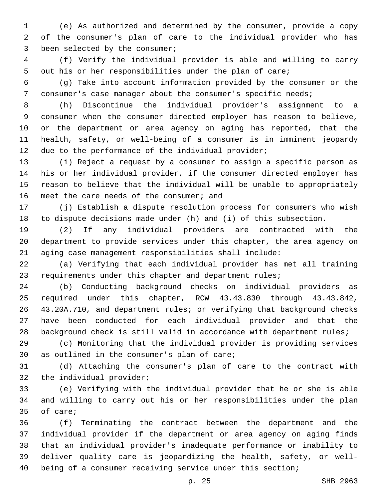(e) As authorized and determined by the consumer, provide a copy of the consumer's plan of care to the individual provider who has 3 been selected by the consumer;

 (f) Verify the individual provider is able and willing to carry out his or her responsibilities under the plan of care;

 (g) Take into account information provided by the consumer or the 7 consumer's case manager about the consumer's specific needs;

 (h) Discontinue the individual provider's assignment to a consumer when the consumer directed employer has reason to believe, or the department or area agency on aging has reported, that the health, safety, or well-being of a consumer is in imminent jeopardy due to the performance of the individual provider;

 (i) Reject a request by a consumer to assign a specific person as his or her individual provider, if the consumer directed employer has reason to believe that the individual will be unable to appropriately 16 meet the care needs of the consumer; and

 (j) Establish a dispute resolution process for consumers who wish to dispute decisions made under (h) and (i) of this subsection.

 (2) If any individual providers are contracted with the department to provide services under this chapter, the area agency on aging case management responsibilities shall include:

 (a) Verifying that each individual provider has met all training 23 requirements under this chapter and department rules;

 (b) Conducting background checks on individual providers as required under this chapter, RCW 43.43.830 through 43.43.842, 43.20A.710, and department rules; or verifying that background checks have been conducted for each individual provider and that the 28 background check is still valid in accordance with department rules;

 (c) Monitoring that the individual provider is providing services 30 as outlined in the consumer's plan of care;

 (d) Attaching the consumer's plan of care to the contract with 32 the individual provider;

 (e) Verifying with the individual provider that he or she is able and willing to carry out his or her responsibilities under the plan 35 of care;

 (f) Terminating the contract between the department and the individual provider if the department or area agency on aging finds that an individual provider's inadequate performance or inability to deliver quality care is jeopardizing the health, safety, or well-being of a consumer receiving service under this section;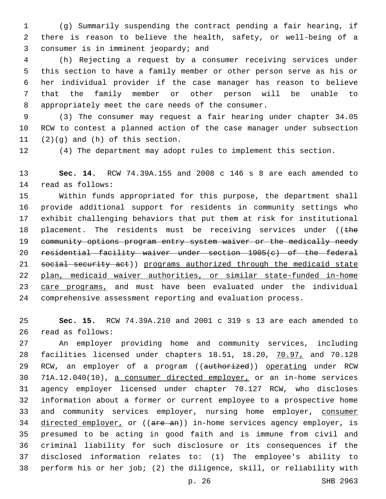(g) Summarily suspending the contract pending a fair hearing, if there is reason to believe the health, safety, or well-being of a 3 consumer is in imminent jeopardy; and

 (h) Rejecting a request by a consumer receiving services under this section to have a family member or other person serve as his or her individual provider if the case manager has reason to believe that the family member or other person will be unable to 8 appropriately meet the care needs of the consumer.

 (3) The consumer may request a fair hearing under chapter 34.05 RCW to contest a planned action of the case manager under subsection  $(2)(q)$  and  $(h)$  of this section.

(4) The department may adopt rules to implement this section.

 **Sec. 14.** RCW 74.39A.155 and 2008 c 146 s 8 are each amended to 14 read as follows:

 Within funds appropriated for this purpose, the department shall provide additional support for residents in community settings who exhibit challenging behaviors that put them at risk for institutional 18 placement. The residents must be receiving services under (( $t$ he 19 community options program entry system waiver or the medically needy residential facility waiver under section 1905(c) of the federal 21 social security act)) programs authorized through the medicaid state plan, medicaid waiver authorities, or similar state-funded in-home 23 care programs, and must have been evaluated under the individual comprehensive assessment reporting and evaluation process.

 **Sec. 15.** RCW 74.39A.210 and 2001 c 319 s 13 are each amended to 26 read as follows:

 An employer providing home and community services, including facilities licensed under chapters 18.51, 18.20, 70.97, and 70.128 29 RCW, an employer of a program ((authorized)) operating under RCW 71A.12.040(10), a consumer directed employer, or an in-home services agency employer licensed under chapter 70.127 RCW, who discloses information about a former or current employee to a prospective home 33 and community services employer, nursing home employer, consumer 34 directed employer, or ((are an)) in-home services agency employer, is presumed to be acting in good faith and is immune from civil and criminal liability for such disclosure or its consequences if the disclosed information relates to: (1) The employee's ability to perform his or her job; (2) the diligence, skill, or reliability with

p. 26 SHB 2963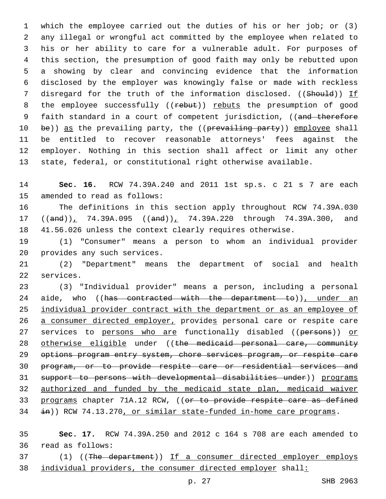which the employee carried out the duties of his or her job; or (3) any illegal or wrongful act committed by the employee when related to his or her ability to care for a vulnerable adult. For purposes of this section, the presumption of good faith may only be rebutted upon a showing by clear and convincing evidence that the information disclosed by the employer was knowingly false or made with reckless 7 disregard for the truth of the information disclosed. ((Should)) If 8 the employee successfully ((rebut)) rebuts the presumption of good 9 faith standard in a court of competent jurisdiction, ((and therefore 10 be)) as the prevailing party, the ((prevailing party)) employee shall be entitled to recover reasonable attorneys' fees against the employer. Nothing in this section shall affect or limit any other state, federal, or constitutional right otherwise available.

 **Sec. 16.** RCW 74.39A.240 and 2011 1st sp.s. c 21 s 7 are each 15 amended to read as follows:

 The definitions in this section apply throughout RCW 74.39A.030 17 ((and)), 74.39A.095 ((and)), 74.39A.220 through 74.39A.300, and 41.56.026 unless the context clearly requires otherwise.

 (1) "Consumer" means a person to whom an individual provider 20 provides any such services.

 (2) "Department" means the department of social and health 22 services.

 (3) "Individual provider" means a person, including a personal 24 aide, who ((has contracted with the department to)), under an individual provider contract with the department or as an employee of a consumer directed employer, provides personal care or respite care 27 services to persons who are functionally disabled ((persons)) or 28 otherwise eligible under ((the medicaid personal care, community options program entry system, chore services program, or respite care program, or to provide respite care or residential services and support to persons with developmental disabilities under)) programs authorized and funded by the medicaid state plan, medicaid waiver 33 programs chapter 71A.12 RCW, ((or to provide respite care as defined 34 in)) RCW 74.13.270, or similar state-funded in-home care programs.

 **Sec. 17.** RCW 74.39A.250 and 2012 c 164 s 708 are each amended to 36 read as follows:

 (1) ((The department)) If a consumer directed employer employs individual providers, the consumer directed employer shall: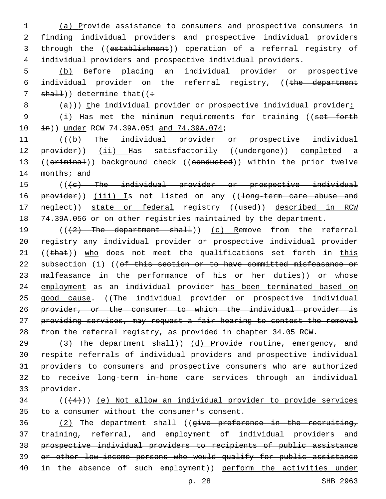(a) Provide assistance to consumers and prospective consumers in finding individual providers and prospective individual providers through the ((establishment)) operation of a referral registry of individual providers and prospective individual providers.

5 (b) Before placing an individual provider or prospective 6 individual provider on the referral registry, ((the department 7  $shall)$ ) determine that((:

 $8$   $\left( \frac{a}{a} \right)$ )) the individual provider or prospective individual provider:

9 (i) Has met the minimum requirements for training ((set forth 10  $\pm$ n)) under RCW 74.39A.051 and 74.39A.074;

11 (((b) The individual provider or prospective individual 12 provider)) (ii) Has satisfactorily ((undergone)) completed a 13 ((criminal)) background check ((conducted)) within the prior twelve 14 months; and

15 (((e) The individual provider or prospective individual 16 provider)) (iii) Is not listed on any ((long-term care abuse and 17 neglect)) state or federal registry ((used)) described in RCW 18 74.39A.056 or on other registries maintained by the department.

19 (((2) The department shall)) (c) Remove from the referral 20 registry any individual provider or prospective individual provider 21 ( $(\text{that})$ ) who does not meet the qualifications set forth in this 22 subsection (1) ((of this section or to have committed misfeasance or 23 malfeasance in the performance of his or her duties)) or whose 24 employment as an individual provider has been terminated based on 25 good cause. ((The individual provider or prospective individual 26 provider, or the consumer to which the individual provider is 27 providing services, may request a fair hearing to contest the removal 28 from the referral registry, as provided in chapter 34.05 RCW.

 $(3)$  The department shall)) (d) Provide routine, emergency, and respite referrals of individual providers and prospective individual providers to consumers and prospective consumers who are authorized to receive long-term in-home care services through an individual 33 provider.

## $34$  ( $(44)$ )) <u>(e) Not allow an individual provider to provide</u> services 35 to a consumer without the consumer's consent.

 $(2)$  The department shall ((give preference in the recruiting, training, referral, and employment of individual providers and prospective individual providers to recipients of public assistance or other low-income persons who would qualify for public assistance 40 in the absence of such employment)) perform the activities under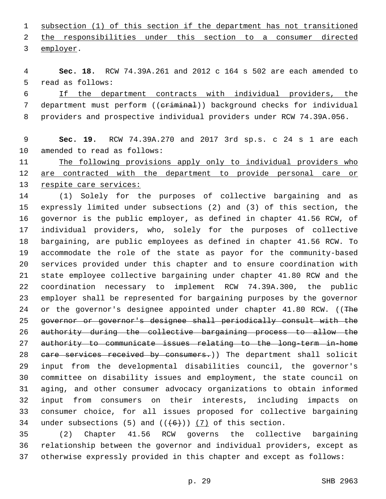subsection (1) of this section if the department has not transitioned the responsibilities under this section to a consumer directed 3 employer.

 **Sec. 18.** RCW 74.39A.261 and 2012 c 164 s 502 are each amended to 5 read as follows:

 If the department contracts with individual providers, the 7 department must perform ((criminal)) background checks for individual providers and prospective individual providers under RCW 74.39A.056.

## **Sec. 19.** RCW 74.39A.270 and 2017 3rd sp.s. c 24 s 1 are each 10 amended to read as follows:

 The following provisions apply only to individual providers who 12 are contracted with the department to provide personal care or respite care services:

 (1) Solely for the purposes of collective bargaining and as expressly limited under subsections (2) and (3) of this section, the governor is the public employer, as defined in chapter 41.56 RCW, of individual providers, who, solely for the purposes of collective bargaining, are public employees as defined in chapter 41.56 RCW. To accommodate the role of the state as payor for the community-based services provided under this chapter and to ensure coordination with state employee collective bargaining under chapter 41.80 RCW and the coordination necessary to implement RCW 74.39A.300, the public employer shall be represented for bargaining purposes by the governor 24 or the governor's designee appointed under chapter 41.80 RCW. ((The governor or governor's designee shall periodically consult with the authority during the collective bargaining process to allow the authority to communicate issues relating to the long-term in-home 28 eare services received by consumers.)) The department shall solicit input from the developmental disabilities council, the governor's committee on disability issues and employment, the state council on aging, and other consumer advocacy organizations to obtain informed input from consumers on their interests, including impacts on consumer choice, for all issues proposed for collective bargaining 34 under subsections (5) and  $((+6+))$  (7) of this section.

 (2) Chapter 41.56 RCW governs the collective bargaining relationship between the governor and individual providers, except as otherwise expressly provided in this chapter and except as follows: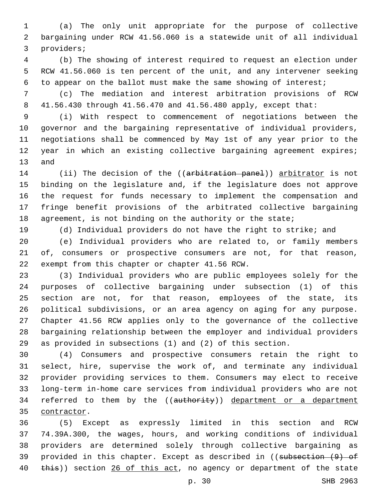(a) The only unit appropriate for the purpose of collective bargaining under RCW 41.56.060 is a statewide unit of all individual 3 providers;

 (b) The showing of interest required to request an election under RCW 41.56.060 is ten percent of the unit, and any intervener seeking to appear on the ballot must make the same showing of interest;

 (c) The mediation and interest arbitration provisions of RCW 41.56.430 through 41.56.470 and 41.56.480 apply, except that:

 (i) With respect to commencement of negotiations between the governor and the bargaining representative of individual providers, negotiations shall be commenced by May 1st of any year prior to the year in which an existing collective bargaining agreement expires; 13 and

14 (ii) The decision of the ((arbitration panel)) arbitrator is not binding on the legislature and, if the legislature does not approve the request for funds necessary to implement the compensation and fringe benefit provisions of the arbitrated collective bargaining 18 agreement, is not binding on the authority or the state;

(d) Individual providers do not have the right to strike; and

 (e) Individual providers who are related to, or family members of, consumers or prospective consumers are not, for that reason, 22 exempt from this chapter or chapter 41.56 RCW.

 (3) Individual providers who are public employees solely for the purposes of collective bargaining under subsection (1) of this section are not, for that reason, employees of the state, its political subdivisions, or an area agency on aging for any purpose. Chapter 41.56 RCW applies only to the governance of the collective bargaining relationship between the employer and individual providers as provided in subsections (1) and (2) of this section.

 (4) Consumers and prospective consumers retain the right to select, hire, supervise the work of, and terminate any individual provider providing services to them. Consumers may elect to receive long-term in-home care services from individual providers who are not 34 referred to them by the ((authority)) department or a department 35 contractor.

 (5) Except as expressly limited in this section and RCW 74.39A.300, the wages, hours, and working conditions of individual providers are determined solely through collective bargaining as 39 provided in this chapter. Except as described in ((subsection (9) of 40 this)) section 26 of this act, no agency or department of the state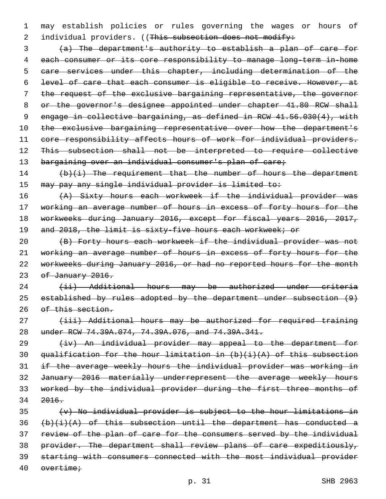may establish policies or rules governing the wages or hours of 2 individual providers. ((This subsection does not modify:

 (a) The department's authority to establish a plan of care for each consumer or its core responsibility to manage long-term in-home care services under this chapter, including determination of the level of care that each consumer is eligible to receive. However, at the request of the exclusive bargaining representative, the governor 8 or the governor's designee appointed under chapter 41.80 RCW shall engage in collective bargaining, as defined in RCW 41.56.030(4), with 10 the exclusive bargaining representative over how the department's 11 core responsibility affects hours of work for individual providers. This subsection shall not be interpreted to require collective 13 bargaining over an individual consumer's plan of care;

14 (b)(i) The requirement that the number of hours the department may pay any single individual provider is limited to:

16 (A) Sixty hours each workweek if the individual provider was 17 working an average number of hours in excess of forty hours for the workweeks during January 2016, except for fiscal years 2016, 2017, 19 and 2018, the limit is sixty-five hours each workweek; or

 (B) Forty hours each workweek if the individual provider was not working an average number of hours in excess of forty hours for the workweeks during January 2016, or had no reported hours for the month 23 of January 2016.

 (ii) Additional hours may be authorized under criteria established by rules adopted by the department under subsection (9) 26 of this section.

27 (iii) Additional hours may be authorized for required training under RCW 74.39A.074, 74.39A.076, and 74.39A.341.

29 (iv) An individual provider may appeal to the department for 30 qualification for the hour limitation in  $(b)$   $(i)$   $(A)$  of this subsection if the average weekly hours the individual provider was working in January 2016 materially underrepresent the average weekly hours worked by the individual provider during the first three months of 2016.

 (v) No individual provider is subject to the hour limitations in  $(b)(i)(A)$  of this subsection until the department has conducted a review of the plan of care for the consumers served by the individual 38 provider. The department shall review plans of care expeditiously, starting with consumers connected with the most individual provider overtime;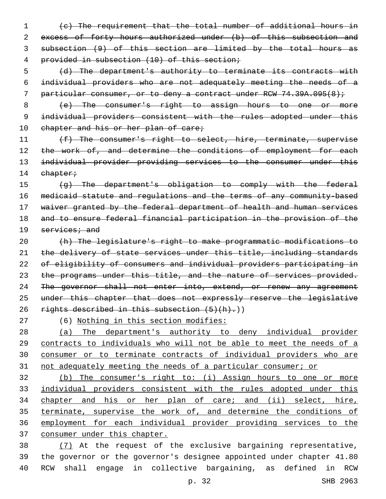(c) The requirement that the total number of additional hours in 2 excess of forty hours authorized under (b) of this subsection and subsection (9) of this section are limited by the total hours as provided in subsection (10) of this section;

 (d) The department's authority to terminate its contracts with individual providers who are not adequately meeting the needs of a 7 particular consumer, or to deny a contract under RCW 74.39A.095(8);

 (e) The consumer's right to assign hours to one or more 9 individual providers consistent with the rules adopted under this 10 chapter and his or her plan of care;

11 (f) The consumer's right to select, hire, terminate, supervise 12 the work of, and determine the conditions of employment for each individual provider providing services to the consumer under this 14 chapter;

 (g) The department's obligation to comply with the federal medicaid statute and regulations and the terms of any community-based 17 waiver granted by the federal department of health and human services and to ensure federal financial participation in the provision of the services; and

 (h) The legislature's right to make programmatic modifications to 21 the delivery of state services under this title, including standards of eligibility of consumers and individual providers participating in 23 the programs under this title, and the nature of services provided. 24 The governor shall not enter into, extend, or renew any agreement 25 under this chapter that does not expressly reserve the legislative 26 rights described in this subsection  $(5)(h)$ .)

(6) Nothing in this section modifies:

 (a) The department's authority to deny individual provider 29 contracts to individuals who will not be able to meet the needs of a consumer or to terminate contracts of individual providers who are not adequately meeting the needs of a particular consumer; or

 (b) The consumer's right to: (i) Assign hours to one or more individual providers consistent with the rules adopted under this chapter and his or her plan of care; and (ii) select, hire, terminate, supervise the work of, and determine the conditions of employment for each individual provider providing services to the consumer under this chapter.

 (7) At the request of the exclusive bargaining representative, the governor or the governor's designee appointed under chapter 41.80 RCW shall engage in collective bargaining, as defined in RCW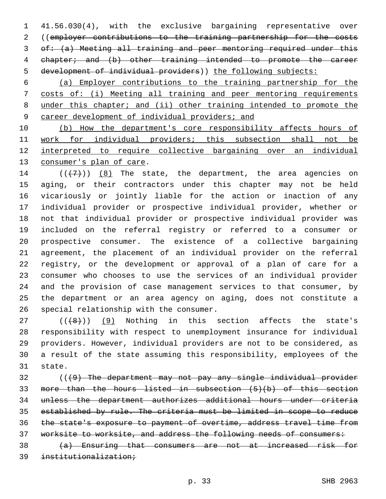41.56.030(4), with the exclusive bargaining representative over ((employer contributions to the training partnership for the costs of: (a) Meeting all training and peer mentoring required under this chapter; and (b) other training intended to promote the career development of individual providers)) the following subjects:

 (a) Employer contributions to the training partnership for the costs of: (i) Meeting all training and peer mentoring requirements under this chapter; and (ii) other training intended to promote the career development of individual providers; and

 (b) How the department's core responsibility affects hours of work for individual providers; this subsection shall not be interpreted to require collective bargaining over an individual 13 consumer's plan of care.

 $((+7+))$   $(8)$  The state, the department, the area agencies on aging, or their contractors under this chapter may not be held vicariously or jointly liable for the action or inaction of any individual provider or prospective individual provider, whether or not that individual provider or prospective individual provider was included on the referral registry or referred to a consumer or prospective consumer. The existence of a collective bargaining agreement, the placement of an individual provider on the referral registry, or the development or approval of a plan of care for a consumer who chooses to use the services of an individual provider and the provision of case management services to that consumer, by the department or an area agency on aging, does not constitute a 26 special relationship with the consumer.

 ( $(\overline{+8})$ ) (9) Nothing in this section affects the state's responsibility with respect to unemployment insurance for individual providers. However, individual providers are not to be considered, as a result of the state assuming this responsibility, employees of the 31 state.

 (((9) The department may not pay any single individual provider more than the hours listed in subsection (5)(b) of this section unless the department authorizes additional hours under criteria established by rule. The criteria must be limited in scope to reduce the state's exposure to payment of overtime, address travel time from worksite to worksite, and address the following needs of consumers:

 (a) Ensuring that consumers are not at increased risk for institutionalization;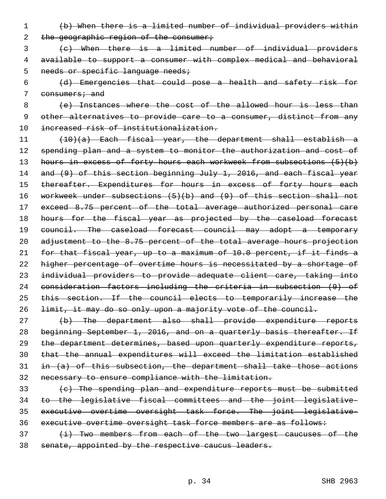- (b) When there is a limited number of individual providers within 2 the geographic region of the consumer;
- (c) When there is a limited number of individual providers available to support a consumer with complex medical and behavioral 5 needs or specific language needs;
- (d) Emergencies that could pose a health and safety risk for 7 consumers; and

 (e) Instances where the cost of the allowed hour is less than other alternatives to provide care to a consumer, distinct from any increased risk of institutionalization.

 (10)(a) Each fiscal year, the department shall establish a 12 spending plan and a system to monitor the authorization and cost of 13 hours in excess of forty hours each workweek from subsections (5)(b) 14 and (9) of this section beginning July 1, 2016, and each fiscal year 15 thereafter. Expenditures for hours in excess of forty hours each workweek under subsections (5)(b) and (9) of this section shall not exceed 8.75 percent of the total average authorized personal care 18 hours for the fiscal year as projected by the caseload forecast 19 council. The caseload forecast council may adopt a temporary adjustment to the 8.75 percent of the total average hours projection for that fiscal year, up to a maximum of 10.0 percent, if it finds a higher percentage of overtime hours is necessitated by a shortage of individual providers to provide adequate client care, taking into consideration factors including the criteria in subsection (9) of 25 this section. If the council elects to temporarily increase the limit, it may do so only upon a majority vote of the council.

- (b) The department also shall provide expenditure reports 28 beginning September 1, 2016, and on a quarterly basis thereafter. If the department determines, based upon quarterly expenditure reports, that the annual expenditures will exceed the limitation established in  $(a)$  of this subsection, the department shall take those actions necessary to ensure compliance with the limitation.
- (c) The spending plan and expenditure reports must be submitted to the legislative fiscal committees and the joint legislative- executive overtime oversight task force. The joint legislative-36 executive overtime oversight task force members are as follows:
- 37 (i) Two members from each of the two largest caucuses of the senate, appointed by the respective caucus leaders.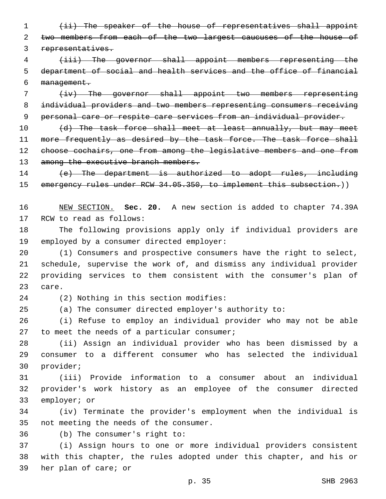1 (ii) The speaker of the house of representatives shall appoint 2 two members from each of the two largest caucuses of the house of 3 representatives.

4 (iii) The governor shall appoint members representing the 5 department of social and health services and the office of financial 6 management.

7 (iv) The governor shall appoint two members representing 8 individual providers and two members representing consumers receiving 9 personal care or respite care services from an individual provider.

10 (d) The task force shall meet at least annually, but may meet 11 more frequently as desired by the task force. The task force shall 12 choose cochairs, one from among the legislative members and one from 13 among the executive branch members.

14 (e) The department is authorized to adopt rules, including 15 emergency rules under RCW 34.05.350, to implement this subsection.))

16 NEW SECTION. **Sec. 20.** A new section is added to chapter 74.39A 17 RCW to read as follows:

18 The following provisions apply only if individual providers are 19 employed by a consumer directed employer:

 (1) Consumers and prospective consumers have the right to select, schedule, supervise the work of, and dismiss any individual provider providing services to them consistent with the consumer's plan of 23 care.

(2) Nothing in this section modifies:24

25 (a) The consumer directed employer's authority to:

26 (i) Refuse to employ an individual provider who may not be able 27 to meet the needs of a particular consumer;

28 (ii) Assign an individual provider who has been dismissed by a 29 consumer to a different consumer who has selected the individual 30 provider;

31 (iii) Provide information to a consumer about an individual 32 provider's work history as an employee of the consumer directed 33 employer; or

34 (iv) Terminate the provider's employment when the individual is 35 not meeting the needs of the consumer.

36 (b) The consumer's right to:

37 (i) Assign hours to one or more individual providers consistent 38 with this chapter, the rules adopted under this chapter, and his or 39 her plan of care; or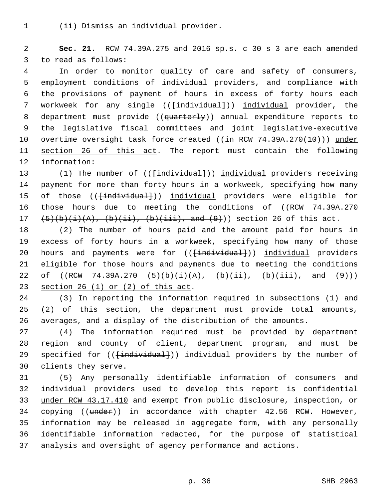(ii) Dismiss an individual provider.1

2 **Sec. 21.** RCW 74.39A.275 and 2016 sp.s. c 30 s 3 are each amended 3 to read as follows:

4 In order to monitor quality of care and safety of consumers, 5 employment conditions of individual providers, and compliance with 6 the provisions of payment of hours in excess of forty hours each 7 workweek for any single ((<del>[individual]</del>)) individual provider, the 8 department must provide ((quarterly)) annual expenditure reports to 9 the legislative fiscal committees and joint legislative-executive 10 overtime oversight task force created ((in RCW 74.39A.270(10))) under 11 section 26 of this act. The report must contain the following 12 information:

13 (1) The number of (( $\{\text{individual}\})$ ) individual providers receiving 14 payment for more than forty hours in a workweek, specifying how many 15 of those ((<del>[individual]</del>)) individual providers were eligible for 16 those hours due to meeting the conditions of ((RCW 74.39A.270)  $17$   $(5)(b)(i)(A), (b)(ii), (b)(iii), and (9))$  section 26 of this act.

18 (2) The number of hours paid and the amount paid for hours in 19 excess of forty hours in a workweek, specifying how many of those 20 hours and payments were for ((<del>[individual]</del>)) individual providers 21 eligible for those hours and payments due to meeting the conditions 22 of  $((RCW - 74.39A.270 - (5)(b)(i)(A), (b)(ii), (b)(iii), and (9))$ 23 section 26  $(1)$  or  $(2)$  of this act.

24 (3) In reporting the information required in subsections (1) and 25 (2) of this section, the department must provide total amounts, 26 averages, and a display of the distribution of the amounts.

27 (4) The information required must be provided by department 28 region and county of client, department program, and must be 29 specified for ((<del>[individual]</del>)) individual providers by the number of 30 clients they serve.

 (5) Any personally identifiable information of consumers and individual providers used to develop this report is confidential under RCW 43.17.410 and exempt from public disclosure, inspection, or 34 copying ((under)) in accordance with chapter 42.56 RCW. However, information may be released in aggregate form, with any personally identifiable information redacted, for the purpose of statistical analysis and oversight of agency performance and actions.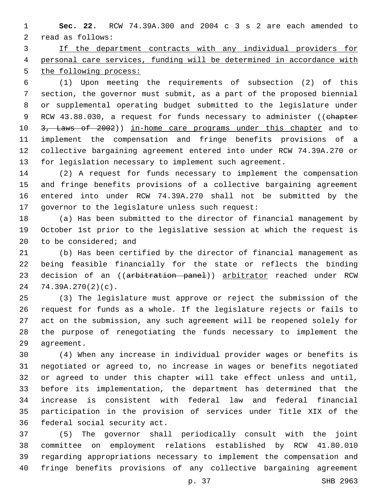**Sec. 22.** RCW 74.39A.300 and 2004 c 3 s 2 are each amended to 2 read as follows:

 If the department contracts with any individual providers for personal care services, funding will be determined in accordance with the following process:

 (1) Upon meeting the requirements of subsection (2) of this section, the governor must submit, as a part of the proposed biennial or supplemental operating budget submitted to the legislature under 9 RCW 43.88.030, a request for funds necessary to administer ((chapter 10 3, Laws of 2002)) in-home care programs under this chapter and to implement the compensation and fringe benefits provisions of a collective bargaining agreement entered into under RCW 74.39A.270 or for legislation necessary to implement such agreement.

 (2) A request for funds necessary to implement the compensation and fringe benefits provisions of a collective bargaining agreement entered into under RCW 74.39A.270 shall not be submitted by the 17 governor to the legislature unless such request:

 (a) Has been submitted to the director of financial management by October 1st prior to the legislative session at which the request is to be considered; and

 (b) Has been certified by the director of financial management as being feasible financially for the state or reflects the binding 23 decision of an ((arbitration panel)) arbitrator reached under RCW 74.39A.270(2)(c).

 (3) The legislature must approve or reject the submission of the request for funds as a whole. If the legislature rejects or fails to act on the submission, any such agreement will be reopened solely for the purpose of renegotiating the funds necessary to implement the 29 aqreement.

 (4) When any increase in individual provider wages or benefits is negotiated or agreed to, no increase in wages or benefits negotiated or agreed to under this chapter will take effect unless and until, before its implementation, the department has determined that the increase is consistent with federal law and federal financial participation in the provision of services under Title XIX of the 36 federal social security act.

 (5) The governor shall periodically consult with the joint committee on employment relations established by RCW 41.80.010 regarding appropriations necessary to implement the compensation and fringe benefits provisions of any collective bargaining agreement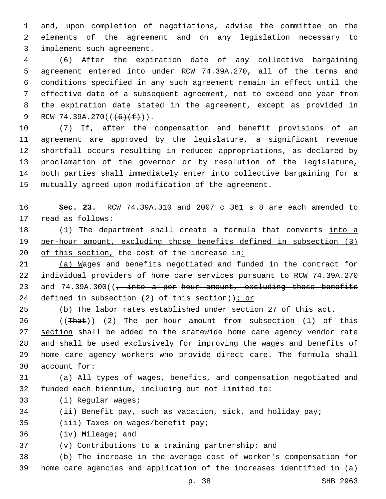and, upon completion of negotiations, advise the committee on the elements of the agreement and on any legislation necessary to 3 implement such agreement.

 (6) After the expiration date of any collective bargaining agreement entered into under RCW 74.39A.270, all of the terms and conditions specified in any such agreement remain in effect until the effective date of a subsequent agreement, not to exceed one year from the expiration date stated in the agreement, except as provided in 9 RCW 74.39A.270( $(\frac{6}{f})$ (f)).

 (7) If, after the compensation and benefit provisions of an agreement are approved by the legislature, a significant revenue shortfall occurs resulting in reduced appropriations, as declared by proclamation of the governor or by resolution of the legislature, both parties shall immediately enter into collective bargaining for a mutually agreed upon modification of the agreement.

 **Sec. 23.** RCW 74.39A.310 and 2007 c 361 s 8 are each amended to 17 read as follows:

18 (1) The department shall create a formula that converts into a per-hour amount, excluding those benefits defined in subsection (3) 20 of this section, the cost of the increase in:

 (a) Wages and benefits negotiated and funded in the contract for individual providers of home care services pursuant to RCW 74.39A.270 23 and  $74.39A.300$  ( $\frac{1}{7}$  into a per-hour amount, excluding those benefits 24 defined in subsection (2) of this section) ; or

(b) The labor rates established under section 27 of this act.

26 ((That)) (2) The per-hour amount from subsection (1) of this 27 section shall be added to the statewide home care agency vendor rate and shall be used exclusively for improving the wages and benefits of home care agency workers who provide direct care. The formula shall 30 account for:

 (a) All types of wages, benefits, and compensation negotiated and funded each biennium, including but not limited to:

- 33 (i) Regular wages;
- (ii) Benefit pay, such as vacation, sick, and holiday pay;

35 (iii) Taxes on wages/benefit pay;

36 (iv) Mileage; and

(v) Contributions to a training partnership; and

 (b) The increase in the average cost of worker's compensation for home care agencies and application of the increases identified in (a)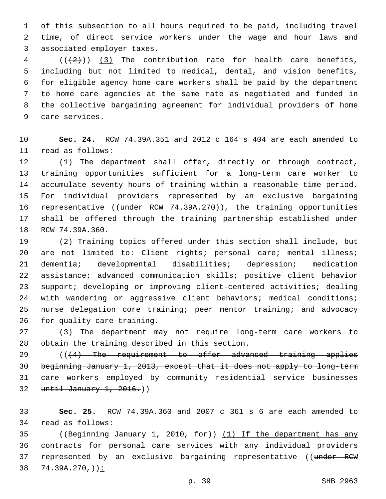of this subsection to all hours required to be paid, including travel time, of direct service workers under the wage and hour laws and 3 associated employer taxes.

  $((+2+))$   $(3)$  The contribution rate for health care benefits, including but not limited to medical, dental, and vision benefits, for eligible agency home care workers shall be paid by the department to home care agencies at the same rate as negotiated and funded in the collective bargaining agreement for individual providers of home 9 care services.

 **Sec. 24.** RCW 74.39A.351 and 2012 c 164 s 404 are each amended to 11 read as follows:

 (1) The department shall offer, directly or through contract, training opportunities sufficient for a long-term care worker to accumulate seventy hours of training within a reasonable time period. For individual providers represented by an exclusive bargaining 16 representative ((under RCW 74.39A.270)), the training opportunities shall be offered through the training partnership established under 18 RCW 74.39A.360.

 (2) Training topics offered under this section shall include, but 20 are not limited to: Client rights; personal care; mental illness; dementia; developmental disabilities; depression; medication assistance; advanced communication skills; positive client behavior support; developing or improving client-centered activities; dealing with wandering or aggressive client behaviors; medical conditions; nurse delegation core training; peer mentor training; and advocacy 26 for quality care training.

 (3) The department may not require long-term care workers to 28 obtain the training described in this section.

29 (((4) The requirement to offer advanced training applies beginning January 1, 2013, except that it does not apply to long-term care workers employed by community residential service businesses until January 1,  $2016.$ )

 **Sec. 25.** RCW 74.39A.360 and 2007 c 361 s 6 are each amended to 34 read as follows:

 ((Beginning January 1, 2010, for)) (1) If the department has any contracts for personal care services with any individual providers 37 represented by an exclusive bargaining representative ((under RCW  $38 \quad 74.39A.270.$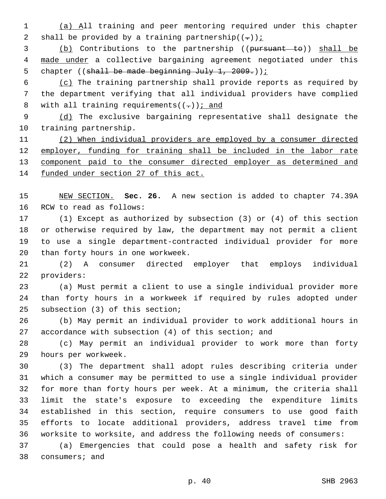(a) All training and peer mentoring required under this chapter 2 shall be provided by a training partnership $((-))$ ;

 (b) Contributions to the partnership ((pursuant to)) shall be 4 made under a collective bargaining agreement negotiated under this 5 chapter ((shall be made beginning July 1, 2009.));

 (c) The training partnership shall provide reports as required by the department verifying that all individual providers have complied 8 with all training requirements( $(-)$ ); and

 (d) The exclusive bargaining representative shall designate the 10 training partnership.

 (2) When individual providers are employed by a consumer directed employer, funding for training shall be included in the labor rate component paid to the consumer directed employer as determined and funded under section 27 of this act.

 NEW SECTION. **Sec. 26.** A new section is added to chapter 74.39A 16 RCW to read as follows:

 (1) Except as authorized by subsection (3) or (4) of this section or otherwise required by law, the department may not permit a client to use a single department-contracted individual provider for more 20 than forty hours in one workweek.

 (2) A consumer directed employer that employs individual 22 providers:

 (a) Must permit a client to use a single individual provider more than forty hours in a workweek if required by rules adopted under 25 subsection (3) of this section;

 (b) May permit an individual provider to work additional hours in accordance with subsection (4) of this section; and

 (c) May permit an individual provider to work more than forty 29 hours per workweek.

 (3) The department shall adopt rules describing criteria under which a consumer may be permitted to use a single individual provider for more than forty hours per week. At a minimum, the criteria shall limit the state's exposure to exceeding the expenditure limits established in this section, require consumers to use good faith efforts to locate additional providers, address travel time from worksite to worksite, and address the following needs of consumers:

 (a) Emergencies that could pose a health and safety risk for 38 consumers; and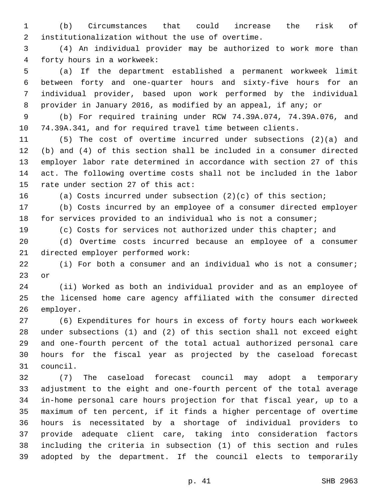(b) Circumstances that could increase the risk of 2 institutionalization without the use of overtime.

 (4) An individual provider may be authorized to work more than 4 forty hours in a workweek:

 (a) If the department established a permanent workweek limit between forty and one-quarter hours and sixty-five hours for an individual provider, based upon work performed by the individual provider in January 2016, as modified by an appeal, if any; or

 (b) For required training under RCW 74.39A.074, 74.39A.076, and 74.39A.341, and for required travel time between clients.

 (5) The cost of overtime incurred under subsections (2)(a) and (b) and (4) of this section shall be included in a consumer directed employer labor rate determined in accordance with section 27 of this act. The following overtime costs shall not be included in the labor 15 rate under section 27 of this act:

(a) Costs incurred under subsection (2)(c) of this section;

 (b) Costs incurred by an employee of a consumer directed employer for services provided to an individual who is not a consumer;

(c) Costs for services not authorized under this chapter; and

 (d) Overtime costs incurred because an employee of a consumer 21 directed employer performed work:

 (i) For both a consumer and an individual who is not a consumer; 23 or

 (ii) Worked as both an individual provider and as an employee of the licensed home care agency affiliated with the consumer directed 26 employer.

 (6) Expenditures for hours in excess of forty hours each workweek under subsections (1) and (2) of this section shall not exceed eight and one-fourth percent of the total actual authorized personal care hours for the fiscal year as projected by the caseload forecast 31 council.

 (7) The caseload forecast council may adopt a temporary adjustment to the eight and one-fourth percent of the total average in-home personal care hours projection for that fiscal year, up to a maximum of ten percent, if it finds a higher percentage of overtime hours is necessitated by a shortage of individual providers to provide adequate client care, taking into consideration factors including the criteria in subsection (1) of this section and rules adopted by the department. If the council elects to temporarily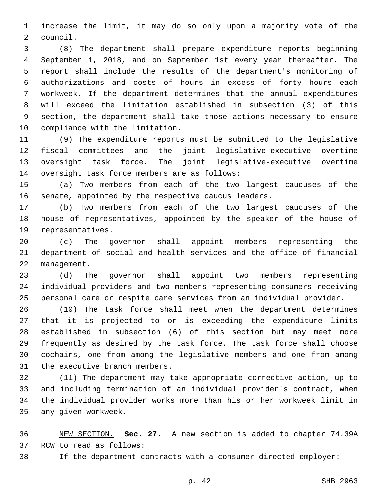increase the limit, it may do so only upon a majority vote of the 2 council.

 (8) The department shall prepare expenditure reports beginning September 1, 2018, and on September 1st every year thereafter. The report shall include the results of the department's monitoring of authorizations and costs of hours in excess of forty hours each workweek. If the department determines that the annual expenditures will exceed the limitation established in subsection (3) of this section, the department shall take those actions necessary to ensure 10 compliance with the limitation.

 (9) The expenditure reports must be submitted to the legislative fiscal committees and the joint legislative-executive overtime oversight task force. The joint legislative-executive overtime 14 oversight task force members are as follows:

 (a) Two members from each of the two largest caucuses of the senate, appointed by the respective caucus leaders.

 (b) Two members from each of the two largest caucuses of the house of representatives, appointed by the speaker of the house of 19 representatives.

 (c) The governor shall appoint members representing the department of social and health services and the office of financial 22 management.

 (d) The governor shall appoint two members representing individual providers and two members representing consumers receiving personal care or respite care services from an individual provider.

 (10) The task force shall meet when the department determines that it is projected to or is exceeding the expenditure limits established in subsection (6) of this section but may meet more frequently as desired by the task force. The task force shall choose cochairs, one from among the legislative members and one from among 31 the executive branch members.

 (11) The department may take appropriate corrective action, up to and including termination of an individual provider's contract, when the individual provider works more than his or her workweek limit in 35 any given workweek.

 NEW SECTION. **Sec. 27.** A new section is added to chapter 74.39A 37 RCW to read as follows:

If the department contracts with a consumer directed employer: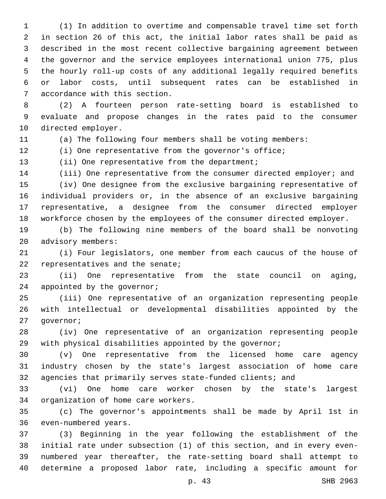(1) In addition to overtime and compensable travel time set forth in section 26 of this act, the initial labor rates shall be paid as described in the most recent collective bargaining agreement between the governor and the service employees international union 775, plus the hourly roll-up costs of any additional legally required benefits or labor costs, until subsequent rates can be established in 7 accordance with this section.

 (2) A fourteen person rate-setting board is established to evaluate and propose changes in the rates paid to the consumer 10 directed employer.

(a) The following four members shall be voting members:

(i) One representative from the governor's office;

13 (ii) One representative from the department;

 (iii) One representative from the consumer directed employer; and (iv) One designee from the exclusive bargaining representative of individual providers or, in the absence of an exclusive bargaining representative, a designee from the consumer directed employer workforce chosen by the employees of the consumer directed employer.

 (b) The following nine members of the board shall be nonvoting 20 advisory members:

 (i) Four legislators, one member from each caucus of the house of 22 representatives and the senate;

 (ii) One representative from the state council on aging, 24 appointed by the governor;

 (iii) One representative of an organization representing people with intellectual or developmental disabilities appointed by the 27 qovernor;

 (iv) One representative of an organization representing people with physical disabilities appointed by the governor;

 (v) One representative from the licensed home care agency industry chosen by the state's largest association of home care agencies that primarily serves state-funded clients; and

 (vi) One home care worker chosen by the state's largest 34 organization of home care workers.

 (c) The governor's appointments shall be made by April 1st in 36 even-numbered years.

 (3) Beginning in the year following the establishment of the initial rate under subsection (1) of this section, and in every even- numbered year thereafter, the rate-setting board shall attempt to determine a proposed labor rate, including a specific amount for

p. 43 SHB 2963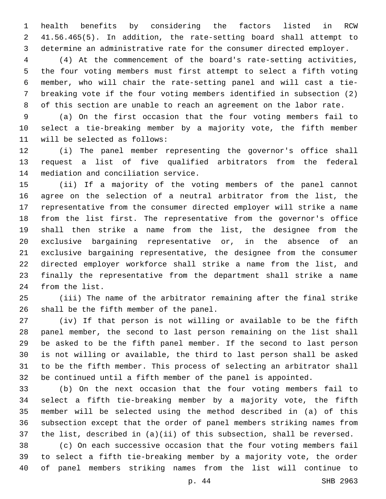health benefits by considering the factors listed in RCW 41.56.465(5). In addition, the rate-setting board shall attempt to determine an administrative rate for the consumer directed employer.

 (4) At the commencement of the board's rate-setting activities, the four voting members must first attempt to select a fifth voting member, who will chair the rate-setting panel and will cast a tie- breaking vote if the four voting members identified in subsection (2) of this section are unable to reach an agreement on the labor rate.

 (a) On the first occasion that the four voting members fail to select a tie-breaking member by a majority vote, the fifth member 11 will be selected as follows:

 (i) The panel member representing the governor's office shall request a list of five qualified arbitrators from the federal 14 mediation and conciliation service.

 (ii) If a majority of the voting members of the panel cannot agree on the selection of a neutral arbitrator from the list, the representative from the consumer directed employer will strike a name from the list first. The representative from the governor's office shall then strike a name from the list, the designee from the exclusive bargaining representative or, in the absence of an exclusive bargaining representative, the designee from the consumer directed employer workforce shall strike a name from the list, and finally the representative from the department shall strike a name 24 from the list.

 (iii) The name of the arbitrator remaining after the final strike 26 shall be the fifth member of the panel.

 (iv) If that person is not willing or available to be the fifth panel member, the second to last person remaining on the list shall be asked to be the fifth panel member. If the second to last person is not willing or available, the third to last person shall be asked to be the fifth member. This process of selecting an arbitrator shall be continued until a fifth member of the panel is appointed.

 (b) On the next occasion that the four voting members fail to select a fifth tie-breaking member by a majority vote, the fifth member will be selected using the method described in (a) of this subsection except that the order of panel members striking names from the list, described in (a)(ii) of this subsection, shall be reversed.

 (c) On each successive occasion that the four voting members fail to select a fifth tie-breaking member by a majority vote, the order of panel members striking names from the list will continue to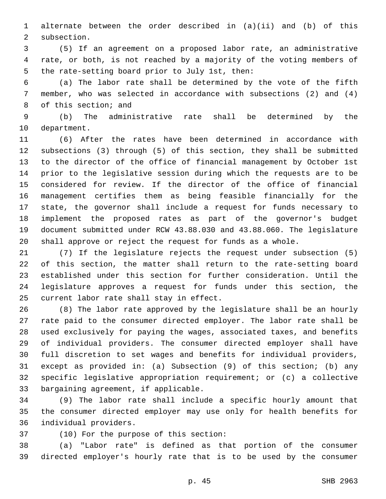alternate between the order described in (a)(ii) and (b) of this 2 subsection.

 (5) If an agreement on a proposed labor rate, an administrative rate, or both, is not reached by a majority of the voting members of 5 the rate-setting board prior to July 1st, then:

 (a) The labor rate shall be determined by the vote of the fifth member, who was selected in accordance with subsections (2) and (4) 8 of this section; and

 (b) The administrative rate shall be determined by the 10 department.

 (6) After the rates have been determined in accordance with subsections (3) through (5) of this section, they shall be submitted to the director of the office of financial management by October 1st prior to the legislative session during which the requests are to be considered for review. If the director of the office of financial management certifies them as being feasible financially for the state, the governor shall include a request for funds necessary to implement the proposed rates as part of the governor's budget document submitted under RCW 43.88.030 and 43.88.060. The legislature shall approve or reject the request for funds as a whole.

 (7) If the legislature rejects the request under subsection (5) of this section, the matter shall return to the rate-setting board established under this section for further consideration. Until the legislature approves a request for funds under this section, the 25 current labor rate shall stay in effect.

 (8) The labor rate approved by the legislature shall be an hourly rate paid to the consumer directed employer. The labor rate shall be used exclusively for paying the wages, associated taxes, and benefits of individual providers. The consumer directed employer shall have full discretion to set wages and benefits for individual providers, except as provided in: (a) Subsection (9) of this section; (b) any specific legislative appropriation requirement; or (c) a collective 33 bargaining agreement, if applicable.

 (9) The labor rate shall include a specific hourly amount that the consumer directed employer may use only for health benefits for 36 individual providers.

37 (10) For the purpose of this section:

 (a) "Labor rate" is defined as that portion of the consumer directed employer's hourly rate that is to be used by the consumer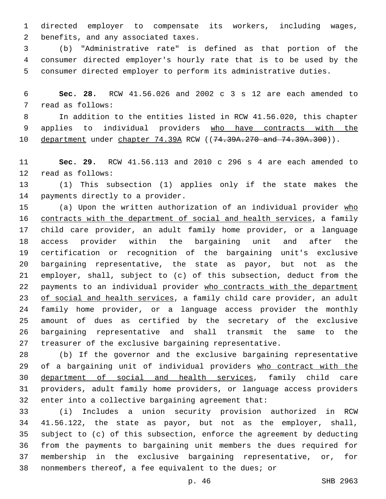directed employer to compensate its workers, including wages, 2 benefits, and any associated taxes.

 (b) "Administrative rate" is defined as that portion of the consumer directed employer's hourly rate that is to be used by the consumer directed employer to perform its administrative duties.

 **Sec. 28.** RCW 41.56.026 and 2002 c 3 s 12 are each amended to 7 read as follows:

 In addition to the entities listed in RCW 41.56.020, this chapter applies to individual providers who have contracts with the 10 department under chapter 74.39A RCW ((74.39A.270 and 74.39A.300)).

 **Sec. 29.** RCW 41.56.113 and 2010 c 296 s 4 are each amended to 12 read as follows:

 (1) This subsection (1) applies only if the state makes the 14 payments directly to a provider.

15 (a) Upon the written authorization of an individual provider who contracts with the department of social and health services, a family child care provider, an adult family home provider, or a language access provider within the bargaining unit and after the certification or recognition of the bargaining unit's exclusive bargaining representative, the state as payor, but not as the employer, shall, subject to (c) of this subsection, deduct from the payments to an individual provider who contracts with the department 23 of social and health services, a family child care provider, an adult family home provider, or a language access provider the monthly amount of dues as certified by the secretary of the exclusive bargaining representative and shall transmit the same to the treasurer of the exclusive bargaining representative.

 (b) If the governor and the exclusive bargaining representative 29 of a bargaining unit of individual providers who contract with the department of social and health services, family child care providers, adult family home providers, or language access providers enter into a collective bargaining agreement that:

 (i) Includes a union security provision authorized in RCW 41.56.122, the state as payor, but not as the employer, shall, subject to (c) of this subsection, enforce the agreement by deducting from the payments to bargaining unit members the dues required for membership in the exclusive bargaining representative, or, for nonmembers thereof, a fee equivalent to the dues; or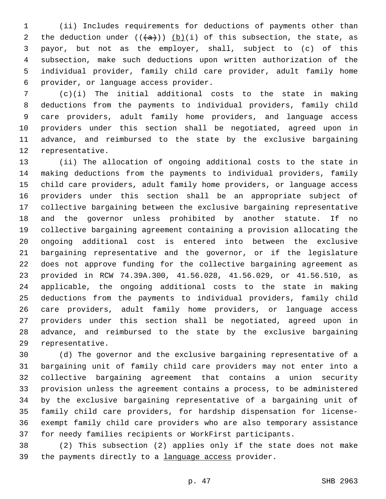(ii) Includes requirements for deductions of payments other than 2 the deduction under  $((+a))$  (b)(i) of this subsection, the state, as payor, but not as the employer, shall, subject to (c) of this subsection, make such deductions upon written authorization of the individual provider, family child care provider, adult family home provider, or language access provider.6

 (c)(i) The initial additional costs to the state in making deductions from the payments to individual providers, family child care providers, adult family home providers, and language access providers under this section shall be negotiated, agreed upon in advance, and reimbursed to the state by the exclusive bargaining 12 representative.

 (ii) The allocation of ongoing additional costs to the state in making deductions from the payments to individual providers, family child care providers, adult family home providers, or language access providers under this section shall be an appropriate subject of collective bargaining between the exclusive bargaining representative and the governor unless prohibited by another statute. If no collective bargaining agreement containing a provision allocating the ongoing additional cost is entered into between the exclusive bargaining representative and the governor, or if the legislature does not approve funding for the collective bargaining agreement as provided in RCW 74.39A.300, 41.56.028, 41.56.029, or 41.56.510, as applicable, the ongoing additional costs to the state in making deductions from the payments to individual providers, family child care providers, adult family home providers, or language access providers under this section shall be negotiated, agreed upon in advance, and reimbursed to the state by the exclusive bargaining 29 representative.

 (d) The governor and the exclusive bargaining representative of a bargaining unit of family child care providers may not enter into a collective bargaining agreement that contains a union security provision unless the agreement contains a process, to be administered by the exclusive bargaining representative of a bargaining unit of family child care providers, for hardship dispensation for license- exempt family child care providers who are also temporary assistance for needy families recipients or WorkFirst participants.

 (2) This subsection (2) applies only if the state does not make 39 the payments directly to a language access provider.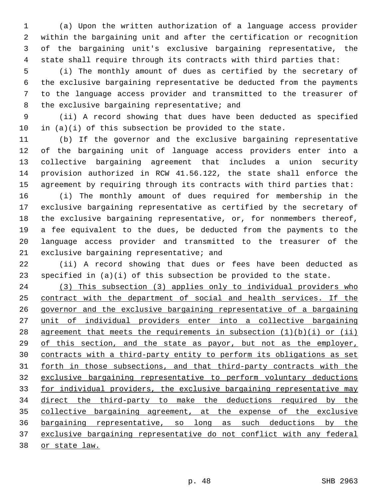(a) Upon the written authorization of a language access provider within the bargaining unit and after the certification or recognition of the bargaining unit's exclusive bargaining representative, the state shall require through its contracts with third parties that:

 (i) The monthly amount of dues as certified by the secretary of the exclusive bargaining representative be deducted from the payments to the language access provider and transmitted to the treasurer of 8 the exclusive bargaining representative; and

 (ii) A record showing that dues have been deducted as specified in (a)(i) of this subsection be provided to the state.

 (b) If the governor and the exclusive bargaining representative of the bargaining unit of language access providers enter into a collective bargaining agreement that includes a union security provision authorized in RCW 41.56.122, the state shall enforce the agreement by requiring through its contracts with third parties that:

 (i) The monthly amount of dues required for membership in the exclusive bargaining representative as certified by the secretary of the exclusive bargaining representative, or, for nonmembers thereof, a fee equivalent to the dues, be deducted from the payments to the language access provider and transmitted to the treasurer of the 21 exclusive bargaining representative; and

 (ii) A record showing that dues or fees have been deducted as specified in (a)(i) of this subsection be provided to the state.

 (3) This subsection (3) applies only to individual providers who contract with the department of social and health services. If the governor and the exclusive bargaining representative of a bargaining unit of individual providers enter into a collective bargaining 28 agreement that meets the requirements in subsection  $(1)(b)(i)$  or  $(ii)$  of this section, and the state as payor, but not as the employer, contracts with a third-party entity to perform its obligations as set forth in those subsections, and that third-party contracts with the exclusive bargaining representative to perform voluntary deductions for individual providers, the exclusive bargaining representative may direct the third-party to make the deductions required by the 35 collective bargaining agreement, at the expense of the exclusive bargaining representative, so long as such deductions by the exclusive bargaining representative do not conflict with any federal 38 or state law.